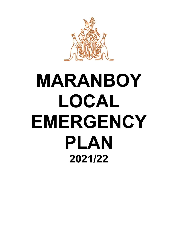

# **MARANBOY LOCAL EMERGENCY PLAN 2021/22**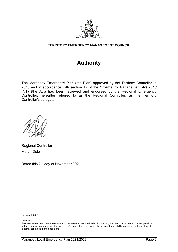

#### **TERRITORY EMERGENCY MANAGEMENT COUNCIL**

## **Authority**

The Maranboy Emergency Plan (the Plan) approved by the Territory Controller in 2013 and in accordance with section 17 of the *Emergency Management Act 2013* (NT) (the Act) has been reviewed and endorsed by the Regional Emergency Controller, hereafter referred to as the Regional Controller, as the Territory Controller's delegate.

Regional Controller Martin Dole

Dated this 2<sup>nd</sup> day of November 2021

Copyright: 2021

Disclaimer

Every effort has been made to ensure that the information contained within these guidelines is accurate and where possible reflects current best practice. However, NTES does not give any warranty or accept any liability in relation to the content of material contained in the document.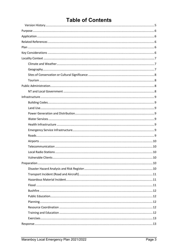## **Table of Contents**

| Vulnerable Clients.<br>10 |  |
|---------------------------|--|
|                           |  |
|                           |  |
|                           |  |
|                           |  |
|                           |  |
|                           |  |
|                           |  |
|                           |  |
|                           |  |
|                           |  |
|                           |  |
|                           |  |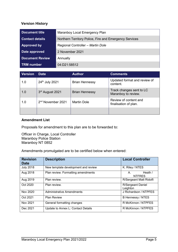#### <span id="page-4-0"></span>**Version History**

| Document title         | Maranboy Local Emergency Plan                          |
|------------------------|--------------------------------------------------------|
| <b>Contact details</b> | Northern Territory Police, Fire and Emergency Services |
| Approved by            | Regional Controller - Martin Dole                      |
| Date approved          | 2 November 2021                                        |
| <b>Document Review</b> | Annually                                               |
| <b>TRM</b> number      | 04:D21:58512                                           |

| <b>Version</b> | <b>Date</b>                   | <b>Author</b>         | <b>Comments</b>                                 |
|----------------|-------------------------------|-----------------------|-------------------------------------------------|
| 1.0            | 24th July 2021                | <b>Brian Hennessy</b> | Updated format and review of<br>content.        |
| 1.0            | 3rd August 2021               | <b>Brian Hennessy</b> | Track changes sent to LC<br>Maranboy to review. |
| 1.0            | 2 <sup>nd</sup> November 2021 | <b>Martin Dole</b>    | Review of content and<br>finalisation of plan.  |
|                |                               |                       |                                                 |

#### **Amendment List**

Proposals for amendment to this plan are to be forwarded to:

Officer in Charge, Local Controller Maranboy Police Station Maranboy NT 0852

Amendments promulgated are to be certified below when entered:

| <b>Revision</b><br><b>Date</b> | <b>Description</b>                  | <b>Local Controller</b>              |
|--------------------------------|-------------------------------------|--------------------------------------|
| <b>July 2018</b>               | New template development and review | K. Riley / NTES                      |
| Aug 2018                       | Plan review. Formatting amendments  | Heath $/$<br>А.<br><b>NTFRES</b>     |
| Aug 2019                       | Plan review.                        | R/Sergeant Matt Ridolfi              |
| Oct 2020                       | Plan review.                        | <b>R/Sergeant Daniel</b><br>Leighton |
| Nov 2020                       | <b>Administrative Amendments</b>    | J Richardson / NTPFES                |
| Oct 2021                       | <b>Plan Review</b>                  | <b>B Hennessy / NTES</b>             |
| Nov 2021                       | General formatting changes          | R McKinnon / NTPFES                  |
| Dec 2021                       | Update to Annex L: Contact Details  | R McKinnon / NTPFES                  |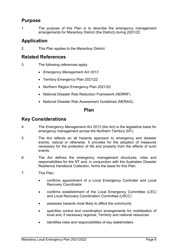## <span id="page-5-0"></span>**Purpose**

1. The purpose of this Plan is to describe the emergency management arrangements for Maranboy District (the District) during 2021/22.

## <span id="page-5-1"></span>**Application**

2. This Plan applies to the Maranboy District.

## <span id="page-5-2"></span>**Related References**

- 3. The following references apply:
	- *Emergency Management Act 2013*
	- Territory Emergency Plan 2021/22
	- Northern Region Emergency Plan 2021/22
	- National Disaster Risk Reduction Framework (NDRRF)
	- National Disaster Risk Assessment Guidelines (NERAG).

## **Plan**

## <span id="page-5-4"></span><span id="page-5-3"></span>**Key Considerations**

- 4. The *Emergency Management Act 2013* (the Act) is the legislative basis for emergency management across the Northern Territory (NT).
- 5. The Act reflects an all hazards approach to emergency and disaster events, natural or otherwise. It provides for the adoption of measures necessary for the protection of life and property from the effects of such events.
- 6. The Act defines the emergency management structures, roles and responsibilities for the NT and, in conjunction with the Australian Disaster Resilience Handbook Collection, forms the basis for this Plan.
- 7. This Plan:
	- confirms appointment of a Local Emergency Controller and Local Recovery Coordinator
	- confirms establishment of the Local Emergency Committee (LEC) and Local Recovery Coordination Committee (LRCC)
	- assesses hazards most likely to affect the community
	- specifies control and coordination arrangements for mobilisation of local and, if necessary regional, Territory and national resources
	- identifies roles and responsibilities of key stakeholders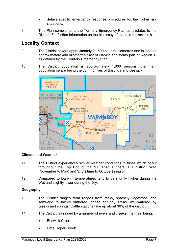- details specific emergency response procedures for the higher risk situations.
- 8. This Plan complements the Territory Emergency Plan as it relates to the District. For further information on the hierarchy of plans, refer **Annex A**.

## <span id="page-6-0"></span>**Locality Context**

- 9. The District covers approximately 21,500 square kilometres and is located approximately 400 kilometres east of Darwin and forms part of Region 1, as defined by the Territory Emergency Plan.
- 10. The District population is approximately 1,000 persons, the main population centre being the communities of Barunga and Beswick.



#### <span id="page-6-1"></span>**Climate and Weather**

- 11. The District experiences similar weather conditions to those which occur throughout the Top End of the NT. That is, there is a distinct 'Wet' (November to May) and 'Dry' (June to October) season.
- 12. Compared to Darwin, temperatures tend to be slightly higher during the Wet and slightly lower during the Dry.

#### <span id="page-6-2"></span>**Geography**

- 13. The District ranges from ranges from rocky, sparsely vegetated, and semi-arid to thickly timbered, dense scrubby areas, well-watered by creeks and springs. Cattle stations take up about 30% of the district.
- 14. The District is drained by a number of rivers and creeks, the main being:
	- **Beswick Creek**
	- Little Roper Creek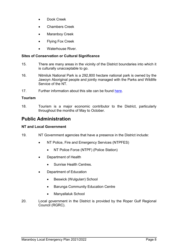- Dook Creek
- Chambers Creek
- Maranboy Creek
- Flying Fox Creek
- Waterhouse River

#### <span id="page-7-0"></span>**Sites of Conservation or Cultural Significance**

- 15. There are many areas in the vicinity of the District boundaries into which it is culturally unacceptable to go.
- 16. Nitmiluk National Park is a 292,800 hectare national park is owned by the Jawoyn Aboriginal people and jointly managed with the Parks and Wildlife Service of the NT.
- 17. Further information about this site can be found [here.](https://nt.gov.au/environment/environment-data-maps/important-biodiversity-conservation-sites/conservation-significance-list)

#### <span id="page-7-1"></span>**Tourism**

18. Tourism is a major economic contributor to the District, particularly throughout the months of May to October.

## <span id="page-7-2"></span>**Public Administration**

#### <span id="page-7-3"></span>**NT and Local Government**

- 19. NT Government agencies that have a presence in the District include:
	- NT Police, Fire and Emergency Services (NTPFES)
		- NT Police Force (NTPF) (Police Station)
	- Department of Health
		- Sunrise Health Centres.
	- Department of Education
		- Beswick (Wulgularr) School
		- Barunga Community Education Centre
		- Manyallaluk School
- 20. Local government in the District is provided by the Roper Gulf Regional Council (RGRC).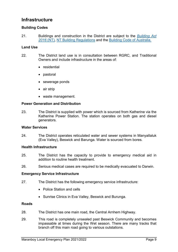## <span id="page-8-0"></span>**Infrastructure**

#### <span id="page-8-1"></span>**Building Codes**

21. Buildings and construction in the District are subject to the *[Building Act](https://legislation.nt.gov.au/en/Legislation/BUILDING-ACT)  [2016](https://legislation.nt.gov.au/en/Legislation/BUILDING-ACT)* (NT), [NT Building Regulations](https://legislation.nt.gov.au/Legislation/BUILDING-REGULATIONS) and the [Building Code of Australia.](https://www.abcb.gov.au/NCC/About)

#### <span id="page-8-2"></span>**Land Use**

- 22. The District land use is in consultation between RGRC, and Traditional Owners and include infrastructure in the areas of:
	- residential
	- pastoral
	- sewerage ponds
	- air strip
	- waste management.

#### <span id="page-8-3"></span>**Power Generation and Distribution**

23. The District is supplied with power which is sourced from Katherine via the Katherine Power Station. The station operates on both gas and diesel generators.

#### <span id="page-8-4"></span>**Water Services**

24. The District operates reticulated water and sewer systems in Manyallaluk (Eva Valley), Beswick and Barunga. Water is sourced from bores.

#### <span id="page-8-5"></span>**Health Infrastructure**

- 25. The District has the capacity to provide to emergency medical aid in addition to routine health treatment.
- 26. Serious medical cases are required to be medically evacuated to Darwin.

#### <span id="page-8-6"></span>**Emergency Service Infrastructure**

- 27. The District has the following emergency service infrastructure:
	- Police Station and cells
	- Sunrise Clinics in Eva Valley, Beswick and Burunga.

#### <span id="page-8-7"></span>**Roads**

- 28. The District has one main road, the Central Arnhem Highway.
- 29. This road is completely unsealed past Beswick Community and becomes impassable at times during the Wet season. There are many tracks that branch off this main road going to various outstations.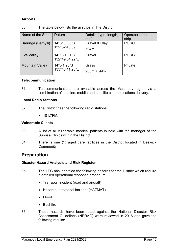#### <span id="page-9-0"></span>**Airports**

| Name of the Strip      | Datum                          | Details (type, length, | Operator of the |
|------------------------|--------------------------------|------------------------|-----------------|
|                        |                                | $etc.$ )               | strip           |
| Barunga (Bamyili)      | 14°31'3.68"S                   | Gravel & Clay          | <b>RGRC</b>     |
|                        | 132°52'46.39E                  | 794m                   |                 |
| Eva Valley             | 14°16'1.01"S<br>132°49'54.92"E | Gravel                 | <b>RGRC</b>     |
| <b>Mountain Valley</b> | 14°5'1.90"S                    | Grass                  | Private         |
|                        | 133°48'41.20"E                 | 900m X 99m             |                 |

30. The table below lists the airstrips in The District:

#### <span id="page-9-1"></span>**Telecommunication**

31. Telecommunications are available across the Maranboy region via a combination of landline, mobile and satellite communications delivery.

#### <span id="page-9-2"></span>**Local Radio Stations**

- 32. The District has the following radio stations:
	- 101.7FM.

#### <span id="page-9-3"></span>**Vulnerable Clients**

- 33. A list of all vulnerable medical patients is held with the manager of the Sunrise Clinics within the District.
- 34. There is one (1) aged care facilities in the District located in Beswick Community.

## <span id="page-9-4"></span>**Preparation**

#### <span id="page-9-5"></span>**Disaster Hazard Analysis and Risk Register**

- 35. The LEC has identified the following hazards for the District which require a detailed operational response procedure:
	- Transport incident (road and aircraft)
	- Hazardous material incident (HAZMAT)
	- Flood
	- Bushfire
- 36. These hazards have been rated against the National Disaster Risk Assessment Guidelines (NERAG) were reviewed in 2016 and gave the following results: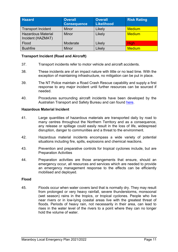| <b>Hazard</b>                                  | <b>Overall</b><br><b>Consequence</b> | <b>Overall</b><br><b>Likelihood</b> | <b>Risk Rating</b> |
|------------------------------------------------|--------------------------------------|-------------------------------------|--------------------|
| Transport Incident                             | <b>Minor</b>                         | Likely                              | <b>Medium</b>      |
| <b>Hazardous Material</b><br>Incident (HAZMAT) | Minor                                | Likely                              | <b>Medium</b>      |
| Flood                                          | Moderate                             | Likely                              | <b>High</b>        |
| <b>Bushfire</b>                                | Minor                                | Likely                              | <b>Medium</b>      |

#### <span id="page-10-0"></span>**Transport Incident (Road and Aircraft)**

- 37. Transport incidents refer to motor vehicle and aircraft accidents.
- 38. These incidents are of an impact nature with little or no lead time. With the exception of maintaining infrastructure, no mitigation can be put in place.
- 39. The NT Police maintain a Road Crash Rescue capability and supply a first response to any major incident until further resources can be sourced if needed.
- 40. Procedures surrounding aircraft incidents have been developed by the Australian Transport and Safety Bureau and can found [here.](https://www.atsb.gov.au/media/1538966/civil_militaryaccidguide_v5.pdf)

#### <span id="page-10-1"></span>**Hazardous Material Incident**

- 41. Large quantities of hazardous materials are transported daily by road to many centres throughout the Northern Territory and as a consequence, any release or spillage could easily result in the loss of life, widespread disruption, danger to communities and a threat to the environment.
- 42. Hazardous material incidents encompass a wide variety of potential situations including fire, spills, explosions and chemical reactions.
- 43. Prevention and preparative controls for tropical cyclones include, but are Preparation Activities
- 44. Preparation activities are those arrangements that ensure, should an emergency occur, all resources and services which are needed to provide an emergency management response to the effects can be efficiently mobilised and deployed.

#### <span id="page-10-2"></span>**Flood**

45. Floods occur when water covers land that is normally dry. They may result from prolonged or very heavy rainfall, severe thunderstorms, monsoonal (wet season) rains in the tropics, or tropical cyclones. People who live near rivers or in low-lying coastal areas live with the greatest threat of floods. Periods of heavy rain, not necessarily in their area, can lead to rises in the water level of the rivers to a point where they can no longer hold the volume of water.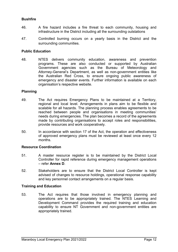#### <span id="page-11-0"></span>**Bushfire**

- 46. A fire hazard includes a fire threat to each community, housing and infrastructure in the District including all the surrounding outstations
- 47. Controlled burning occurs on a yearly basis in the District and the surrounding communities.

#### <span id="page-11-1"></span>**Public Education**

48. NTES delivers community education, awareness and prevention programs. These are also conducted or supported by Australian Government agencies such as the Bureau of Meteorology and Attorney-General's Department, as well as non-government entities like the Australian Red Cross, to ensure ongoing public awareness of emergency and disaster events. Further information is available on each organisation's respective website.

#### <span id="page-11-2"></span>**Planning**

- 49. The Act requires Emergency Plans to be maintained at a Territory, regional and local level. Arrangements in plans aim to be flexible and scalable for all hazards. The planning process enables agreements to be reached between people and organisations in meeting communities' needs during emergencies. The plan becomes a record of the agreements made by contributing organisations to accept roles and responsibilities, provide resources and work cooperatively.
- 50. In accordance with section 17 of the Act, the operation and effectiveness of approved emergency plans must be reviewed at least once every 12 months.

#### <span id="page-11-3"></span>**Resource Coordination**

- 51. A master resource register is to be maintained by the District Local Controller for rapid reference during emergency management operations – refer **Annex D**.
- 52. Stakeholders are to ensure that the District Local Controller is kept advised of changes to resource holdings, operational response capability and key personnel contact arrangements on a regular basis.

#### <span id="page-11-4"></span>**Training and Education**

53. The Act requires that those involved in emergency planning and operations are to be appropriately trained. The NTES Learning and Development Command provides the required training and education capability to ensure NT Government and non-government entities are appropriately trained.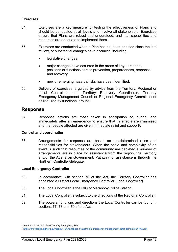#### <span id="page-12-0"></span>**Exercises**

- 54. Exercises are a key measure for testing the effectiveness of Plans and should be conducted at all levels and involve all stakeholders. Exercises ensure that Plans are robust and understood, and that capabilities and resources are adequate to implement them.
- 55. Exercises are conducted when a Plan has not been enacted since the last review, or substantial changes have occurred, including:
	- legislative changes
	- major changes have occurred in the areas of key personnel, positions or functions across prevention, preparedness, response and recovery
	- new or emerging hazards/risks have been identified.
- 56. Delivery of exercises is guided by advice from the Territory, Regional or Local Controllers, the Territory Recovery Coordinator, Territory Emergency Management Council or Regional Emergency Committee or as required by functional groups[1](#page-12-4).

#### <span id="page-12-1"></span>**Response**

57. Response actions are those taken in anticipation of, during, and immediately after an emergency to ensure that its effects are minimised and that people affected are given immediate relief and support $\boldsymbol{\mathsf{r}}$ .

#### <span id="page-12-2"></span>**Control and coordination**

58. Arrangements for response are based on pre-determined roles and responsibilities for stakeholders. When the scale and complexity of an event is such that resources of the community are depleted a number of arrangements are in place for assistance from the region, the Territory and/or the Australian Government. Pathway for assistance is through the Northern Controller/delegate.

#### <span id="page-12-3"></span>**Local Emergency Controller**

- 59. In accordance with section 76 of the Act, the Territory Controller has appointed a District Local Emergency Controller (Local Controller).
- 60. The Local Controller is the OIC of Maranboy Police Station.
- 61. The Local Controller is subject to the directions of the Regional Controller.
- 62. The powers, functions and directions the Local Controller can be found in sections 77, 78 and 79 of the Act.

 $\overline{a}$ 

<span id="page-12-4"></span><sup>&</sup>lt;sup>1</sup> Section 3.5 and 3.6 of the Territory Emergency Plan.

<span id="page-12-5"></span><sup>2</sup> <https://knowledge.aidr.org.au/media/1764/handbook-9-australian-emergency-management-arrangements-kh-final.pdf>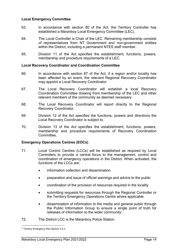#### <span id="page-13-0"></span>**Local Emergency Committee**

- 63. In accordance with section 80 of the Act, the Territory Controller has established a Maranboy Local Emergency Committee (LEC).
- 64. The Local Controller is Chair of the LEC. Remaining membership consists of representatives from NT Government and non-government entities within the District, including a permanent NTES staff member.
- 65. Division 11 of the Act specifies the establishment, functions, powers, membership and procedure requirements of a LEC.

#### <span id="page-13-1"></span>**Local Recovery Coordinator and Coordination Committee**

- 66. In accordance with section 87 of the Act, if a region and/or locality has been affected by an event, the relevant Regional Recovery Coordinator may appoint a Local Recovery Coordinator.
- 67. The Local Recovery Coordinator will establish a local Recovery Coordination Committee drawing from membership of the LEC and other relevant members of the community as deemed necessary.
- 68. The Local Recovery Coordinator will report directly to the Regional Recovery Coordinator.
- 69. Division 12 of the Act specifies the functions, powers and directions the Local Recovery Coordinator is subject to.
- 70. Division 13 of the Act specifies the establishment, functions, powers, membership and procedure requirements of Recovery Coordination Committee.

#### <span id="page-13-2"></span>**Emergency Operations Centres (EOCs)**

- 71. Local Control Centres (LCCs) will be established as required by Local Controllers to provide a central focus to the management, control and coordination of emergency operations in the District. When activated, the functions of the LCCs are:
	- information collection and dissemination
	- preparation and issue of official warnings and advice to the public
	- coordination of the provision of resources required in the locality
	- submitting requests for resources through the Regional Controller or the Territory Emergency Operations Centre where applicable
	- dissemination of information to the media and general public through the Public Information Group to ensure a single point of truth for releases of information to the wider community<sup>[3](#page-13-3)</sup>.
- 72. The District LCC is the Maranboy Police Station.

 $\overline{a}$ 

<span id="page-13-3"></span><sup>3</sup> Territory Emergency Plan Section 4.5.3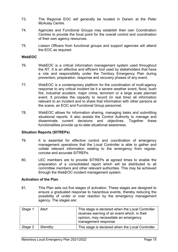- 73. The Regional EOC will generally be located in Darwin at the Peter McAulay Centre.
- 74. Agencies and Functional Groups may establish their own Coordination Centres to provide the focal point for the overall control and coordination of their own agency resources.
- 75. Liaison Officers from functional groups and support agencies will attend the EOC as required.

#### <span id="page-14-0"></span>**WebEOC**

- 76. WebEOC is a critical information management system used throughout the NT. It is an effective and efficient tool used by stakeholders that have a role and responsibility under the Territory Emergency Plan during prevention, preparation, response and recovery phases of any event.
- 77. WebEOC is a contemporary platform for the coordination of multi-agency response to any critical incident be it a severe weather event, flood, bush fire, industrial accident, major crime, terrorism or a large scale planned event. It provides the capacity to record (in real time) all information relevant to an incident and to share that information with other persons at the scene, an EOC and Functional Group personnel.
- 78. WebEOC allows for information sharing, managing tasks and submitting situational reports. It also assists the Control Authority to manage and disseminate current decisions and objectives. Together these functionalities provide up-to-date situational awareness.

#### <span id="page-14-1"></span>**Situation Reports (SITREPs)**

- 79. It is essential for effective control and coordination of emergency management operations that the Local Controller is able to gather and collate relevant information relating to the emergency from regular, concise and accurate SITREPs.
- 80. LEC members are to provide SITREPs at agreed times to enable the preparation of a consolidated report which will be distributed to all committee members and other relevant authorities. This may be achieved through the WebEOC incident management system.

#### <span id="page-14-2"></span>**Activation of the Plan**

81. This Plan sets out five stages of activation. These stages are designed to ensure a graduated response to hazardous events, thereby reducing the possibility of under or over reaction by the emergency management agency. The stages are:

| Stage 1 | Alert   | This stage is declared when the Local Controller<br>receives warning of an event which, in their<br>opinion, may necessitate an emergency<br>management response. |
|---------|---------|-------------------------------------------------------------------------------------------------------------------------------------------------------------------|
| Stage 2 | Standby | This stage is declared when the Local Controller                                                                                                                  |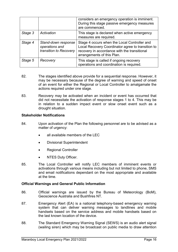|         |                                                                 | considers an emergency operation is imminent.<br>During this stage passive emergency measures<br>are commenced.                                                                 |
|---------|-----------------------------------------------------------------|---------------------------------------------------------------------------------------------------------------------------------------------------------------------------------|
| Stage 3 | Activation                                                      | This stage is declared when active emergency<br>measures are required.                                                                                                          |
| Stage 4 | Stand-down response<br>operations and<br>transition to Recovery | Stage 4 occurs when the Local Controller and<br>Local Recovery Coordinator agree to transition to<br>recovery in accordance with the transitional<br>arrangements of this Plan. |
| Stage 5 | Recovery                                                        | This stage is called if ongoing recovery<br>operations and coordination is required.                                                                                            |

- 82. The stages identified above provide for a sequential response. However, it may be necessary because of the degree of warning and speed of onset of an event for either the Regional or Local Controller to amalgamate the actions required under one stage.
- 83. Recovery may be activated when an incident or event has occurred that did not necessitate the activation of response stages 1 to 4. This may be in relation to a sudden impact event or slow onset event such as a drought situation.

#### <span id="page-15-0"></span>**Stakeholder Notifications**

- 84. Upon activation of the Plan the following personnel are to be advised as a matter of urgency:
	- all available members of the LEC
	- Divisional Superintendent
	- Regional Controller
	- NTES Duty Officer.
- 85. The Local Controller will notify LEC members of imminent events or activations through various means including but not limited to phone, SMS and email notifications dependant on the most appropriate and available at the time.

#### <span id="page-15-1"></span>**Official Warnings and General Public Information**

- 86. Official warnings are issued by the Bureau of Meteorology (BoM), Geoscience Australia and Bushfires NT.
- 87. Emergency Alert (EA) is a national telephony-based emergency warning system that can deliver warning messages to landlines and mobile handsets based on the service address and mobile handsets based on the last known location of the device.
- 88. The Standard Emergency Warning Signal (SEWS) is an audio alert signal (wailing siren) which may be broadcast on public media to draw attention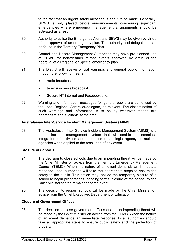to the fact that an urgent safety message is about to be made. Generally, SEWS is only played before announcements concerning significant emergencies where emergency management arrangements should be activated as a result.

- 89. Authority to utilise the Emergency Alert and SEWS may be given by virtue of the approval of an emergency plan. The authority and delegations can be found in the Territory Emergency Plan
- 90. Control and Hazard Management Authorities may have pre-planned use of SEWS for non-weather related events approved by virtue of the approval of a Regional or Special emergency plan.
- 91. The District will receive official warnings and general public information through the following means:
	- radio broadcast
	- television news broadcast
	- Secure NT internet and Facebook site.
- 92. Warning and information messages for general public are authorised by the Local/Regional Controller/delegate, as relevant. The dissemination of such warnings and information is to be by whatever means are appropriate and available at the time.

#### <span id="page-16-0"></span>**Australasian Inter-Service Incident Management System (AIIMS)**

93. The Australasian Inter-Service Incident Management System (AIIMS) is a robust incident management system that will enable the seamless integration of activities and resources of a single agency or multiple agencies when applied to the resolution of any event.

#### <span id="page-16-1"></span>**Closure of Schools**

- 94. The decision to close schools due to an impending threat will be made by the Chief Minister on advice from the Territory Emergency Management Council (TEMC). When the nature of an event demands an immediate response, local authorities will take the appropriate steps to ensure the safety to the public. This action may include the temporary closure of a school to begin preparations, pending formal closure of the school by the Chief Minister for the remainder of the event.
- 95. The decision to reopen schools will be made by the Chief Minister on advice from the Chief Executive, Department of Education.

#### <span id="page-16-2"></span>**Closure of Government Offices**

96. The decision to close government offices due to an impending threat will be made by the Chief Minister on advice from the TEMC. When the nature of an event demands an immediate response, local authorities should take all appropriate steps to ensure public safety and the protection of property.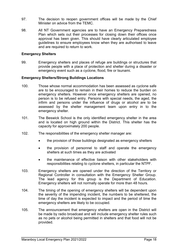- 97. The decision to reopen government offices will be made by the Chief Minister on advice from the TEMC.
- 98. All NT Government agencies are to have an Emergency Preparedness Plan which sets out their processes for closing down their offices once approval has been given. This should have clearly articulated employee guidelines to ensure employees know when they are authorised to leave and are required to return to work.

#### <span id="page-17-0"></span>**Emergency Shelters**

99. Emergency shelters and places of refuge are buildings or structures that provide people with a place of protection and shelter during a disaster or emergency event such as a cyclone, flood, fire or tsunami.

#### <span id="page-17-1"></span>**Emergency Shelters/Strong Buildings Locations**

- 100. Those whose normal accommodation has been assessed as cyclone safe are to be encouraged to remain in their homes to reduce the burden on emergency shelters. However once emergency shelters are opened, no person is to be refused entry. Persons with special needs, the aged, the infirm and persons under the influence of drugs or alcohol are to be assessed by the shelter management team upon entry in to the emergency shelter.
- 101. The Beswick School is the only identified emergency shelter in the area and is located on high ground within the District. This shelter has the capacity for approximately 200 people.
- 102. The responsibilities of the emergency shelter manager are:
	- the provision of those buildings designated as emergency shelters
	- the provision of personnel to staff and operate the emergency shelters at such times as they are activated
	- the maintenance of effective liaison with other stakeholders with responsibilities relating to cyclone shelters, in particular the NTPF.
- 103. Emergency shelters are opened under the direction of the Territory or Regional Controller in consultation with the Emergency Shelter Group. The lead agency for this group is the Department of Education. Emergency shelters will not normally operate for more than 48 hours.
- 104. The timing of the opening of emergency shelters will be dependent upon the severity of the impending incident, the numbers to be sheltered, the time of day the incident is expected to impact and the period of time the emergency shelters are likely to be occupied.
- 105. The announcement that emergency shelters are open in the District will be made by radio broadcast and will include emergency shelter rules such as no pets or alcohol being permitted in shelters and that food will not be provided.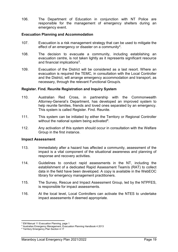106. The Department of Education in conjunction with NT Police are responsible for the management of emergency shelters during an emergency event.

#### <span id="page-18-0"></span>**Evacuation Planning and Accommodation**

- 107. Evacuation is a risk management strategy that can be used to mitigate the effect of an emergency or disaster on a community<sup>[4](#page-18-3)</sup>.
- 108. The decision to evacuate a community, including establishing an evacuation centre, is not taken lightly as it represents significant resource and financial implications<sup>[5](#page-18-4)</sup>.
- 109. Evacuation of the District will be considered as a last resort. Where an evacuation is required the TEMC, in consultation with the Local Controller and the District, will arrange emergency accommodation and transport, as necessary, through the relevant Functional Group/s.

#### <span id="page-18-1"></span>**Register. Find. Reunite Registration and Inquiry System**

- 110. Australian Red Cross, in partnership with the Commonwealth Attorney-General's Department, has developed an improved system to help reunite families, friends and loved ones separated by an emergency. This system is called Register. Find. Reunite.
- 111. This system can be initiated by either the Territory or Regional Controller without the national system being activated  $6$ .
- 112. Any activation of this system should occur in consultation with the Welfare Group in the first instance.

#### <span id="page-18-2"></span>**Impact Assessment**

- 113. Immediately after a hazard has affected a community, assessment of the impact is a vital component of the situational awareness and planning of response and recovery activities.
- 114. Guidelines to conduct rapid assessments in the NT, including the establishment of a dedicated Rapid Assessment Team/s (RAT) to collect data in the field have been developed. A copy is available in the WebEOC library for emergency management practitioners.
- 115. The Survey, Rescue and Impact Assessment Group, led by the NTPFES, is responsible for impact assessments.
- 116. At the local level, Local Controllers can activate the NTES to undertake impact assessments if deemed appropriate.

 $\overline{a}$ <sup>4</sup> EM Manual 11 Evacuation Planning, page 1

<span id="page-18-3"></span><sup>5</sup> Australian Emergency Management, Evacuation Planning Handbook 4 2013

<span id="page-18-5"></span><span id="page-18-4"></span><sup>6</sup> Territory Emergency Plan Section 4.17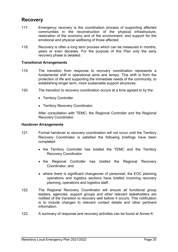## <span id="page-19-0"></span>**Recovery**

- 117. Emergency recovery is the coordination process of supporting affected communities in the reconstruction of the physical infrastructure, restoration of the economy and of the environment, and support for the emotional and physical wellbeing of those affected.
- 118. Recovery is often a long term process which can be measured in months, years or even decades. For the purpose of this Plan only the early recovery phase is detailed.

#### <span id="page-19-1"></span>**Transitional Arrangements**

- 119. The transition from response to recovery coordination represents a fundamental shift in operational aims and tempo. This shift is from the protection of life and supporting the immediate needs of the community, to establishing longer term, more sustainable support structures.
- 120. The transition to recovery coordination occurs at a time agreed to by the:
	- Territory Controller
	- Territory Recovery Coordinator.

After consultation with TEMC, the Regional Controller and the Regional Recovery Coordinator.

#### <span id="page-19-2"></span>**Handover Arrangements**

- 121. Formal handover to recovery coordination will not occur until the Territory Recovery Coordinator is satisfied the following briefings have been completed:
	- the Territory Controller has briefed the TEMC and the Territory Recovery Coordinator
	- the Regional Controller has briefed the Regional Recovery Coordinator, and
	- where there is significant changeover of personnel, the EOC planning operations and logistics sections have briefed incoming recovery planning, operations and logistics staff.
- 122. The Regional Recovery Coordinator will ensure all functional group leaders, agencies, support groups and other relevant stakeholders are notified of the transition to recovery well before it occurs. This notification is to include changes to relevant contact details and other pertinent information.
- 123. A summary of response and recovery activities can be found at Annex K.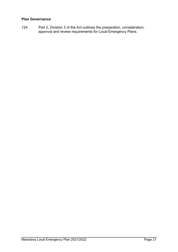#### <span id="page-20-0"></span>**Plan Governance**

124. Part 2, Division 3 of the Act outlines the preparation, consideration, approval and review requirements for Local Emergency Plans.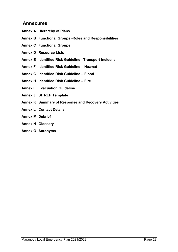## <span id="page-21-0"></span>**Annexures**

- **Annex A Hierarchy of Plans**
- **Annex B Functional Groups -Roles and Responsibilities**
- **Annex C Functional Groups**
- **Annex D Resource Lists**
- **Annex E Identified Risk Guideline –Transport Incident**
- **Annex F Identified Risk Guideline – Hazmat**
- **Annex G Identified Risk Guideline – Flood**
- **Annex H Identified Risk Guideline – Fire**
- **Annex I Evacuation Guideline**
- **Annex J SITREP Template**
- **Annex K Summary of Response and Recovery Activities**
- **Annex L Contact Details**
- **Annex M Debrief**
- **Annex N Glossary**
- **Annex O Acronyms**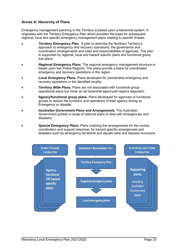#### <span id="page-22-0"></span>**Annex A: Hierarchy of Plans**

Emergency management planning in the Territory is based upon a hierarchal system. It originates with the Territory Emergency Plan which provides the basis for subsequent regional, local and specific emergency management plans relating to specific threats.

- *Territory Emergency Plan.* A plan to describe the Northern Territory's approach to emergency and recovery operations, the governance and coordination arrangements and roles and responsibilities of agencies. The plan is supported by regional, local and hazard specific plans and functional group sub plans.
- *Regional Emergency Plans*. The regional emergency management structure is based upon two Police Regions. The plans provide a basis for coordinated emergency and recovery operations in the region.
- *Local Emergency Plans***.** Plans developed for coordinated emergency and recovery operations in the identified locality.
- **Territory Wide Plans.** Plans are not associated with functional group operational plans but cover an all hazard/all agency/all regions approach.
- **Agency/functional group plans.** Plans developed for agencies or functional groups to deliver the functions and operations of their agency during an Emergency or disaster.
- *Australian Government Plans and Arrangements***.** The Australian Government publish a range of national plans to deal with emergencies and disasters.
- *Special Emergency Plans***.** Plans outlining the arrangements for the control, coordination and support response, for hazard specific emergencies and disasters such as emergency terrestrial and aquatic pest and disease incursions.

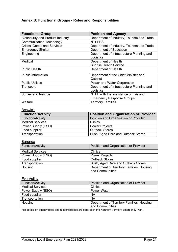### <span id="page-23-0"></span>**Annex B: Functional Groups - Roles and Responsibilities**

| <b>Functional Group</b>                 | <b>Position and Agency</b>                |
|-----------------------------------------|-------------------------------------------|
| <b>Biosecurity and Product Industry</b> | Department of Industry, Tourism and Trade |
| <b>Communication Technology</b>         | <b>NTPFES</b>                             |
| <b>Critical Goods and Services</b>      | Department of Industry, Tourism and Trade |
| <b>Emergency Shelter</b>                | Department of Education                   |
| Engineering                             | Department of Infrastructure Planning and |
|                                         | Logistics                                 |
| Medical                                 | Department of Health                      |
|                                         | <b>Sunrise Health Service</b>             |
| <b>Public Health</b>                    | Department of Health                      |
| <b>Public Information</b>               | Department of the Chief Minister and      |
|                                         | Cabinet                                   |
| <b>Public Utilities</b>                 | Power and Water Corporation               |
| Transport                               | Department of Infrastructure Planning and |
|                                         | Logistics                                 |
| <b>Survey and Rescue</b>                | NTPF with the assistance of Fire and      |
|                                         | <b>Emergency Response Groups</b>          |
| Welfare                                 | <b>Territory Families</b>                 |

Beswick

| <b>Function/Activity</b> | <b>Position and Organisation or Provider</b> |
|--------------------------|----------------------------------------------|
| <b>Function/Activity</b> | Position and Organisation or Provider        |
| <b>Medical Services</b>  | <b>Clinics</b>                               |
| Power Supply (ESO)       | <b>Power Projects</b>                        |
| Food supplier            | <b>Outback Stores</b>                        |
| Transportation           | Bush, Aged Care and Outback Stores           |

| Barunga                  |                                                              |
|--------------------------|--------------------------------------------------------------|
| <b>Function/Activity</b> | Position and Organisation or Provider                        |
| <b>Medical Services</b>  | <b>Clinics</b>                                               |
| Power Supply (ESO)       | <b>Power Projects</b>                                        |
| Food supplier            | <b>Outback Stores</b>                                        |
| Transportation           | Bush, Aged Care and Outback Stores                           |
| Housing                  | Department of Territory Families, Housing<br>and Communities |

| Eva Valley               |                                           |
|--------------------------|-------------------------------------------|
| <b>Function/Activity</b> | Position and Organisation or Provider     |
| <b>Medical Services</b>  | <b>Clinics</b>                            |
| Power Supply (ESO)       | Power Water                               |
| Food supplier            | <b>NA</b>                                 |
| Transportation           | <b>NA</b>                                 |
| Housing                  | Department of Territory Families, Housing |
|                          | and Communities                           |

Full details on agency roles and responsibilities are detailed in the Northern Territory Emergency Plan.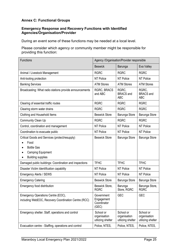#### <span id="page-24-0"></span>**Annex C: Functional Groups**

#### **Emergency Response and Recovery Functions with Identified Agencies/Organisation/Provider**

During an event some of these functions may be needed at a local level.

Please consider which agency or community member might be responsible for providing this function:

| <b>Functions</b>                                                                                                                    | Agency /Organisation/Provider responsible        |                                                |                                                |  |
|-------------------------------------------------------------------------------------------------------------------------------------|--------------------------------------------------|------------------------------------------------|------------------------------------------------|--|
|                                                                                                                                     | <b>Beswick</b>                                   | Barunga                                        | Eva Valley                                     |  |
| Animal / Livestock Management                                                                                                       | <b>RGRC</b>                                      | <b>RGRC</b>                                    | <b>RGRC</b>                                    |  |
| Anti-looting protection                                                                                                             | <b>NT Police</b>                                 | NT Police                                      | NT Police                                      |  |
| <b>Banking Services</b>                                                                                                             | <b>ATM Stores</b>                                | <b>ATM Stores</b>                              | <b>ATM Stores</b>                              |  |
| Broadcasting: What radio stations provide announcements                                                                             | <b>RGRC, BRACS</b><br>and ABC                    | RGRC,<br><b>BRACS</b> and<br><b>ABC</b>        | RGRC,<br><b>BRACS</b> and<br><b>ABC</b>        |  |
| Clearing of essential traffic routes                                                                                                | <b>RGRC</b>                                      | <b>RGRC</b>                                    | <b>RGRC</b>                                    |  |
| Clearing storm water drains                                                                                                         | <b>RGRC</b>                                      | <b>RGRC</b>                                    | <b>RGRC</b>                                    |  |
| Clothing and Household Items                                                                                                        | <b>Beswick Store</b>                             | Barunga Store                                  | Barunga Store                                  |  |
| Community Clean Up                                                                                                                  | <b>RGRC</b>                                      | <b>RGRC</b>                                    | <b>RGRC</b>                                    |  |
| Control, coordination and management                                                                                                | <b>NT Police</b>                                 | <b>NT Police</b>                               | <b>NT Police</b>                               |  |
| Coordination to evacuate public                                                                                                     | NT Police                                        | NT Police                                      | NT Police                                      |  |
| Critical Goods and Services (protect/resupply)<br>Food<br><b>Bottle Gas</b><br><b>Camping Equipment</b><br><b>Building supplies</b> | <b>Beswick Store</b>                             | Barunga Store                                  | Barunga Store                                  |  |
| Damaged public buildings: Coordination and inspections                                                                              | <b>TFHC</b>                                      | <b>TFHC</b>                                    | <b>TFHC</b>                                    |  |
| Disaster Victim Identification capability                                                                                           | NT Police                                        | NT Police                                      | NT Police                                      |  |
| <b>Emergency Alerts / SEWS</b>                                                                                                      | NT Police                                        | NT Police<br>NT Police                         |                                                |  |
| <b>Emergency Catering</b>                                                                                                           | <b>Beswick Store</b>                             | Barunga Store                                  | Barunga Store                                  |  |
| Emergency food distribution                                                                                                         | Beswick Store,<br><b>RGRC</b>                    | Barunga<br>Store, RGRC                         | Barunga Store,<br><b>RGRC</b>                  |  |
| Emergency Operations Centre (EOC),<br>including WebEOC, Recovery Coordination Centre (RCC)                                          | Government<br>Engagement<br>Coordinator<br>(GEC) | <b>GEC</b>                                     | <b>GEC</b>                                     |  |
| Emergency shelter. Staff, operations and control                                                                                    | School or<br>organisation<br>utilizing shelter   | School or<br>organisation<br>utilizing shelter | School or<br>organisation<br>utilizing shelter |  |
| Evacuation centre - Staffing, operations and control                                                                                | Police, NTES,                                    | Police, NTES,                                  | Police, NTES,                                  |  |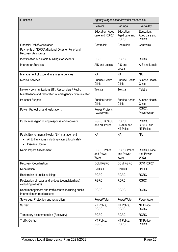| <b>Functions</b>                                                                                                        | Agency /Organisation/Provider responsible |                                            |                                               |
|-------------------------------------------------------------------------------------------------------------------------|-------------------------------------------|--------------------------------------------|-----------------------------------------------|
|                                                                                                                         | <b>Beswick</b>                            | Barunga                                    | Eva Valley                                    |
|                                                                                                                         | Education, Aged<br>care and RGRC          | Education,<br>Aged care and<br><b>RGRC</b> | Education,<br>Aged care and<br><b>RGRC</b>    |
| <b>Financial Relief /Assistance</b><br>Payments of NDRRA (National Disaster Relief and<br>Recovery Assistance)          | Centrelink                                | Centrelink                                 | Centrelink                                    |
| Identification of suitable buildings for shelters                                                                       | <b>RGRC</b>                               | <b>RGRC</b>                                | <b>RGRC</b>                                   |
| <b>Interpreter Services</b>                                                                                             | AIS and Locals                            | AIS and<br>Locals                          | AIS and Locals                                |
| Management of Expenditure in emergencies                                                                                | <b>NA</b>                                 | <b>NA</b>                                  | <b>NA</b>                                     |
| <b>Medical services</b>                                                                                                 | Sunrise Health<br>Clinic                  | Sunrise Health<br>Clinic                   | Sunrise Health<br>Clinic                      |
| Network communications (IT): Responders / Public<br>Maintenance and restoration of emergency communication              | Telstra                                   | Telstra                                    | Telstra                                       |
| Personal Support                                                                                                        | Sunrise Health<br>Clinic                  | Sunrise Health<br>Clinic                   | Sunrise Health<br>Clinic                      |
| Power: Protection and restoration :                                                                                     | Power Projects,<br><b>PowerWater</b>      |                                            | RGRC,<br><b>PowerWater</b>                    |
| Public messaging during response and recovery.                                                                          | RGRC, BRACS<br>and NT Police              | RGRC.<br><b>BRACS</b> and<br>NT Police     | RGRC.<br><b>BRACS</b> and<br><b>NT Police</b> |
| Public/Environmental Health (EH) management<br>All EH functions including water & food safety<br><b>Disease Control</b> | <b>NA</b>                                 | <b>NA</b>                                  | <b>NA</b>                                     |
| Rapid Impact Assessment                                                                                                 | RGRC. Police<br>and Power<br>Water        | RGRC, Police<br>and Power<br>Water         | RGRC, Police<br>and Power<br>Water            |
| <b>Recovery Coordination</b>                                                                                            | <b>DCM RGRC</b>                           | <b>DCM RGRC</b>                            | <b>DCM RGRC</b>                               |
| Repatriation                                                                                                            | <b>DoHCD</b>                              | <b>DoHCD</b>                               | <b>DoHCD</b>                                  |
| Restoration of public buildings                                                                                         | <b>RGRC</b>                               | <b>RGRC</b>                                | <b>RGRC</b>                                   |
| Restoration of roads and bridges (council/territory)<br>excluding railways                                              | <b>RGRC</b>                               | <b>RGRC</b>                                | <b>RGRC</b>                                   |
| Road management and traffic control including public<br>Information on road closures                                    | <b>RGRC</b>                               | <b>RGRC</b>                                | <b>RGRC</b>                                   |
| Sewerage: Protection and restoration                                                                                    | <b>PowerWater</b>                         | <b>PowerWater</b>                          | PowerWater                                    |
| Survey                                                                                                                  | NT Police,<br><b>RGRC</b>                 | NT Police,<br><b>RGRC</b>                  | NT Police,<br><b>RGRC</b>                     |
| Temporary accommodation (Recovery)                                                                                      | <b>RGRC</b>                               | <b>RGRC</b>                                | <b>RGRC</b>                                   |
| <b>Traffic Control</b>                                                                                                  | NT Police,<br><b>RGRC</b>                 | NT Police,<br><b>RGRC</b>                  | NT Police,<br><b>RGRC</b>                     |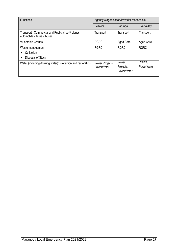| <b>Functions</b>                                                                 | Agency /Organisation/Provider responsible |                                  |                     |
|----------------------------------------------------------------------------------|-------------------------------------------|----------------------------------|---------------------|
|                                                                                  | <b>Beswick</b>                            | Barunga                          | Eva Valley          |
| Transport: Commercial and Public airport/ planes,<br>automobiles, ferries, buses | Transport                                 | Transport                        | Transport           |
| <b>Vulnerable Groups</b>                                                         | <b>RGRC</b>                               | Aged Care                        | <b>Aged Care</b>    |
| Waste management                                                                 | <b>RGRC</b>                               | <b>RGRC</b>                      | <b>RGRC</b>         |
| Collection                                                                       |                                           |                                  |                     |
| Disposal of Stock                                                                |                                           |                                  |                     |
| Water (including drinking water): Protection and restoration                     | Power Projects,<br>PowerWater             | Power<br>Projects,<br>PowerWater | RGRC,<br>PowerWater |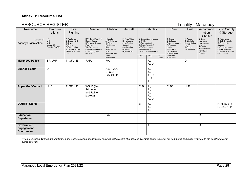#### **Annex D: Resource List**

#### RESOURCE REGISTER **Locality - Maranboy**

| Resource                                              | Communic<br>ations                                                | Fire<br>Fighting                                                                                                       | Rescue                                                                                                                                                | Medical                                                                                                 | Aircraft                                                                                                  |                                                                   | Vehicles                                                             |                | Plant                                                                                                               | Fuel                                                                            | Accommod<br>ation<br>/Shelter                                                             | <b>Food Supply</b><br>& Storage                                                                                                                |
|-------------------------------------------------------|-------------------------------------------------------------------|------------------------------------------------------------------------------------------------------------------------|-------------------------------------------------------------------------------------------------------------------------------------------------------|---------------------------------------------------------------------------------------------------------|-----------------------------------------------------------------------------------------------------------|-------------------------------------------------------------------|----------------------------------------------------------------------|----------------|---------------------------------------------------------------------------------------------------------------------|---------------------------------------------------------------------------------|-------------------------------------------------------------------------------------------|------------------------------------------------------------------------------------------------------------------------------------------------|
| Legend<br>Agency/Organisation                         | HF<br><b>UHF</b><br><b>VHF</b><br>Marine (M)<br>Satellite Ph (SP) | A=Appliance<br>D=Dropon Unit<br>T=Trailer<br>F=Foam<br>E=Extinguisher<br>(4.5kg and above)<br>GFU - Grass Fire<br>Unit | <b>RAR=Road Accident</b><br>Rescue Team<br><b>HE=Heavy Rescue</b><br>Equipment<br>WS=Workshop<br>PG=Portable Genset<br>FL=Floodlighting<br>$B =$ Boat | =Hospital<br>A=Ambulance<br>C=Clinic<br>F/A=First Aid<br>Kits<br>SF=Stretcher<br>(fld)<br>SB=Stretcher- | F=Fixed Wing<br>H=Helicopter<br>(oo)=Seating<br>Capacity<br>(s)=Stretcher<br>$(w)$ =Winch<br>(kg)=Payload | U=Utility<br>B=Bus (seating)<br>WT=Water tanker<br>FT=Fuel tanker | S=Sedan/Stationwagon<br>T=Truck (capacity)<br>LW=Liquid waste tanker |                | T=Tractor<br>B=Bulldozer<br>C=Crane (mobile)<br>F=Frontend<br>Loader<br>F/L=Forklift<br>L=Lowloader<br>B/H=Back hoe | A=Avgas<br>D=Distillate<br>J=Jet aviation<br>$L = LPG$<br>S=Super<br>U=Unleaded | B=Beds<br>R=Rooms<br>C=Caravans<br>$T = Tents$<br>Tp=Tarpaulins<br>Ps=Plastic<br>Sheeting | R=Retail store<br>B=Bulk dry goods<br>K=Commercial<br>Catering<br>P=Portable cooking<br>F=Freezer (fixed)<br>Fm=Freezer (mobile)<br>C=Coolroom |
|                                                       |                                                                   |                                                                                                                        |                                                                                                                                                       | (bsk)<br>B=Blankets                                                                                     |                                                                                                           | 2WD                                                               | 4WD                                                                  | All<br>Terrain | G=Grader<br>BC=Bobcat                                                                                               |                                                                                 |                                                                                           |                                                                                                                                                |
| <b>Maranboy Police</b>                                | SP, UHF                                                           | T, GFU, E                                                                                                              | RAR,                                                                                                                                                  | F/A                                                                                                     |                                                                                                           |                                                                   | U,<br>U, U                                                           |                |                                                                                                                     | D                                                                               |                                                                                           |                                                                                                                                                |
| <b>Sunrise Health</b>                                 | <b>UHF</b>                                                        |                                                                                                                        |                                                                                                                                                       | A, A, A, A, A, C, C, C,<br>F/A, SF, B                                                                   |                                                                                                           |                                                                   | U,<br>U,<br>U, U<br>, U,<br>U                                        |                |                                                                                                                     |                                                                                 |                                                                                           |                                                                                                                                                |
| <b>Roper Gulf Council</b>                             | <b>UHF</b>                                                        | T, GFU, E                                                                                                              | <b>WS, B (4m)</b><br>flat bottom<br>and 7x life<br>jackets)                                                                                           |                                                                                                         |                                                                                                           | T, B                                                              | U,<br>U,<br>U,<br>U,<br>U, U                                         |                | F, B/H                                                                                                              | U, D                                                                            |                                                                                           |                                                                                                                                                |
| <b>Outback Stores</b>                                 |                                                                   |                                                                                                                        |                                                                                                                                                       |                                                                                                         |                                                                                                           | B                                                                 | U,<br>U,<br>U,                                                       |                |                                                                                                                     |                                                                                 |                                                                                           | R, R, B, B, F,<br>F, C, C, K, P                                                                                                                |
| <b>Education</b><br><b>Department</b>                 |                                                                   |                                                                                                                        |                                                                                                                                                       | F/A                                                                                                     |                                                                                                           |                                                                   |                                                                      |                |                                                                                                                     |                                                                                 | $\mathsf R$                                                                               |                                                                                                                                                |
| <b>Government</b><br><b>Engagement</b><br>Coordinator |                                                                   |                                                                                                                        |                                                                                                                                                       |                                                                                                         |                                                                                                           |                                                                   | U                                                                    |                |                                                                                                                     |                                                                                 | $\mathsf R$                                                                               |                                                                                                                                                |

<span id="page-27-0"></span>*Where Functional Groups are identified, those agencies are responsible for ensuring that a record of resources available during an event are completed and made available to the Local Controller during an event*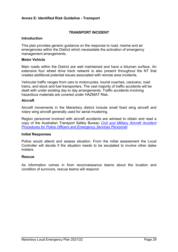#### <span id="page-28-0"></span>**Annex E: Identified Risk Guideline - Transport**

#### **TRANSPORT INCIDENT**

#### **Introduction**

This plan provides generic guidance on the response to road, marine and air emergencies within the District which necessitate the activation of emergency management arrangements.

#### **Motor Vehicle**

Main roads within the District are well maintained and have a bitumen surface. An extensive four wheel drive track network is also present throughout the NT that creates additional potential issues associated with remote area incidents.

Vehicular traffic ranges from cars to motorcycles, tourist coaches, caravans, road trains, and stock and fuel transporters. The vast majority of traffic accidents will be dealt with under existing day to day arrangements. Traffic accidents involving hazardous materials are covered under HAZMAT Risk.

#### **Aircraft**

Aircraft movements in the Maranboy district include small fixed wing aircraft and rotary wing aircraft generally used for aerial mustering.

Region personnel involved with aircraft accidents are advised to obtain and read a copy of the Australian Transport Safety Bureau *[Civil and Military Aircraft Accident](http://www.atsb.gov.au/publications/2014/hazards-at-accident-sites_v6.aspx)  [Procedures for Police Officers and Emergency Services Personnel.](http://www.atsb.gov.au/publications/2014/hazards-at-accident-sites_v6.aspx)*

#### **Initial Responses**

Police would attend and assess situation. From the initial assessment the Local Controller will decide if the situation needs to be escalated to involve other stake holders.

#### **Rescue**

As information comes in from reconnaissance teams about the location and condition of survivors, rescue teams will respond.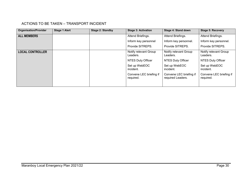#### ACTIONS TO BE TAKEN – TRANSPORT INCIDENT

| <b>Organisation/Provider</b> | <b>Stage 1 Alert</b> | <b>Stage 2: Standby</b> | <b>Stage 3: Activation</b>           | Stage 4: Stand down                          | Stage 5: Recovery                    |
|------------------------------|----------------------|-------------------------|--------------------------------------|----------------------------------------------|--------------------------------------|
| <b>ALL MEMBERS</b>           |                      |                         | Attend Briefings.                    | Attend Briefings.                            | Attend Briefings.                    |
|                              |                      |                         | Inform key personnel                 | Inform key personnel.                        | Inform key personnel.                |
|                              |                      |                         | Provide SITREPS.                     | Provide SITREPS.                             | Provide SITREPS.                     |
| <b>LOCAL CONTROLLER</b>      |                      |                         | Notify relevant Group<br>Leaders.    | Notify relevant Group<br>Leaders.            | Notify relevant Group<br>Leaders.    |
|                              |                      |                         | NTES Duty Officer                    | <b>NTES Duty Officer</b>                     | <b>NTES Duty Officer</b>             |
|                              |                      |                         | Set up WebEOC<br>incident.           | Set up WebEOC<br>incident.                   | Set up WebEOC<br>incident.           |
|                              |                      |                         | Convene LEC briefing if<br>required. | Convene LEC briefing if<br>required Leaders. | Convene LEC briefing if<br>required. |
|                              |                      |                         |                                      |                                              |                                      |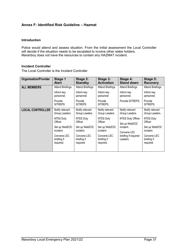#### <span id="page-30-0"></span>**Annex F: Identified Risk Guideline – Hazmat**

#### **Introduction**

Police would attend and assess situation. From the initial assessment the Local Controller will decide if the situation needs to be escalated to involve other stake holders. Maranboy does not have the resources to contain any HAZMAT incident.

#### **Incident Controller**

The Local Controller is the Incident Controller

| <b>Organisation/Provider</b> | Stage 1                                 | Stage 2:                                | Stage 3:                                | Stage 4:                         | Stage 5:                                |
|------------------------------|-----------------------------------------|-----------------------------------------|-----------------------------------------|----------------------------------|-----------------------------------------|
|                              | <b>Alert</b>                            | <b>Standby</b>                          | <b>Activation</b>                       | <b>Stand down</b>                | <b>Recovery</b>                         |
| <b>ALL MEMBERS</b>           | Attend Briefings.                       | Attend Briefings.                       | Attend Briefings.                       | Attend Briefings.                | Attend Briefings.                       |
|                              | Inform key                              | Inform key                              | Inform key                              | Inform key                       | Inform key                              |
|                              | personnel.                              | personnel.                              | personnel                               | personnel.                       | personnel.                              |
|                              | Provide<br><b>SITREPS</b>               | Provide<br><b>SITREPS</b>               | Provide<br>SITREPS.                     | Provide SITREPS.                 | Provide<br>SITREPS.                     |
| <b>LOCAL CONTROLLER</b>      | Notify relevant                         | Notify relevant                         | Notify relevant                         | Notify relevant                  | Notify relevant                         |
|                              | Group Leaders.                          | Group Leaders.                          | Group Leaders.                          | Group Leaders.                   | Group Leaders.                          |
|                              | NTES Duty                               | <b>NTES Duty</b>                        | NTES Duty                               | NTES Duty Officer                | <b>NTES Duty</b>                        |
|                              | Officer                                 | Officer                                 | Officer                                 | Set up WebEOC                    | Officer                                 |
|                              | Set up WebEOC                           | Set up WebEOC                           | Set up WebEOC                           | incident.                        | Set up WebEOC                           |
|                              | incident.                               | incident.                               | incident.                               | Convene LEC                      | incident.                               |
|                              | Convene LEC<br>briefing if<br>required. | Convene LEC<br>briefing if<br>required. | Convene LEC<br>briefing if<br>required. | briefing if required<br>Leaders. | Convene LEC<br>briefing if<br>required. |
|                              |                                         |                                         |                                         |                                  |                                         |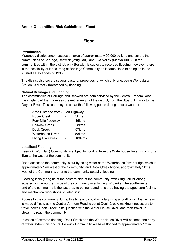#### <span id="page-31-0"></span>**Annex G: Identified Risk Guidelines - Flood**

#### **Flood**

#### **Introduction**

Maranboy district encompasses an area of approximately 90,000 sq kms and covers the communities of Barunga, Beswick (Wugularr), and Eva Valley (Manyalluluk). Of the communities within the district, only Beswick is subject to recorded flooding, however, there is the possibility of it occurring at Barunga Community as it came close to doing so in the Australia Day floods of 1998.

The district also covers several pastoral properties, of which only one, being Wongalara Station, is directly threatened by flooding.

#### **Natural Drainage and Flooding**

The communities of Barunga and Beswick are both serviced by the Central Arnhem Road, the single road that traverses the entire length of the district, from the Stuart Highway to the Goyder River. This road may be cut at the following points during severe weather.

| <b>Roper Creek</b>      | 5kms   |
|-------------------------|--------|
| Four Mile floodway      | 15kms  |
| <b>Beswick Creek</b>    | 28kms  |
| Dook Creek              | 57kms  |
| <b>Waterhouse River</b> | 58kms  |
| <b>Flying Fox Creek</b> | 180kms |

#### **Localised Flooding**

Beswick (Wugularr) Community is subject to flooding from the Waterhouse River, which runs 1km to the west of the community.

Road access to the community is cut by rising water at the Waterhouse River bridge which is approximately 1km west of the Community, and Dook Creek bridge, approximately 2kms west of the Community, prior to the community actually flooding.

Flooding initially begins at the eastern side of the community, with Wugularr billabong, situated on the northern side of the community overflowing its' banks. The south-western end of the community is the last area to be inundated, this area having the aged care facility, and mechanical workshops situated in it.

Access to the community during this time is by boat or rotary wing aircraft only. Boat access is made difficult, as the Central Arnhem Road is cut at Dook Creek, making it necessary to travel down Dook Creek to its' junction with the Water House River, and then travel up stream to reach the community.

In cases of extreme flooding, Dook Creek and the Water House River will become one body of water. When this occurs, Beswick Community will have flooded to approximately 1m in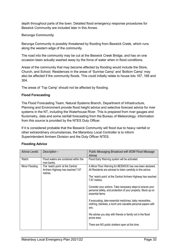depth throughout parts of the town. Detailed flood emergency response procedures for Beswick Community are included later in this Annex.

#### **Barunga Community**

Barunga Community is possibly threatened by flooding from Beswick Creek, which runs along the western edge of the community.

The road into the community may be cut at the Beswick Creek Bridge, and has on one occasion been actually washed away by the force of water when in flood conditions.

Areas of the community that may become affected by flooding would include the Store, Church, and School. Residences in the areas of 'Sunrise Camp' and 'Bottom Camp' may also be affected if the community floods. This could initially relate to house lots 167, 168 and 304.

The areas of 'Top Camp' should not be affected by flooding.

#### **Flood Forecasting**

The Flood Forecasting Team, Natural Systems Branch, Department of Infrastructure, Planning and Environment provide flood height advice and selective forecast advice for river systems in the NT, including the Waterhouse River. This is prepared from river gauges and fluviometry, data and some rainfall forecasting from the Bureau of Meteorology. Information from this source is provided by the NTES Duty Officer.

If it is considered probable that the Beswick Community will flood due to heavy rainfall or other extraordinary circumstances, the Maranboy Local Controller is to inform Superintendent Arnhem Division and the Duty Officer NTES.

| <b>Advise Levels</b> | Description-                                                                   | Public Messaging Broadcast with BOM Flood Message<br>Advise                                                                                     |
|----------------------|--------------------------------------------------------------------------------|-------------------------------------------------------------------------------------------------------------------------------------------------|
| Watch                | Flood waters are contained within the<br>river banks.                          | Flood Early Warning system will be activated.                                                                                                   |
| Minor Flooding       | The "watch point' at the Central<br>Arnhem Highway has reached 7.67<br>metres. | A Minor Floor Warning for BESWICK has now been declared.<br>All Residents are advised to listen carefully to this advice.                       |
|                      |                                                                                | The "watch point" at the Central Arnhem Highway has reached<br>7.67 metres.                                                                     |
|                      |                                                                                | Consider your actions. Take necessary steps to ensure your<br>personal safety, and protection of your property. Stock up on<br>essential items. |
|                      |                                                                                | If evacuating, take essential medicines, baby necessities,<br>clothing, blankets, a torch and valuable personal papers with<br>you.             |
|                      |                                                                                | We advise you stay with friends or family not in the flood<br>prone area.                                                                       |
|                      |                                                                                | There are NO public shelters open at this time.                                                                                                 |

#### **Flooding Advice**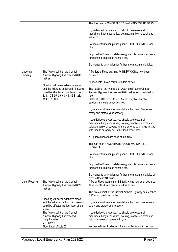|                      |                                                                                                                             | This has been a MINOR FLOOD WARNING FOR BESWICK                                                                                                                                                                                             |
|----------------------|-----------------------------------------------------------------------------------------------------------------------------|---------------------------------------------------------------------------------------------------------------------------------------------------------------------------------------------------------------------------------------------|
|                      |                                                                                                                             | If you decide to evacuate, you should take essential<br>medicines, baby necessities, clothing, blankets, a torch and<br>valuable                                                                                                            |
|                      |                                                                                                                             | For more information please phone - 1800 500 070 - Flood<br>Line.                                                                                                                                                                           |
|                      |                                                                                                                             | Or go to the Bureau of Meteorology website: www.bom.gov.au<br>for more information on rainfalls etc.                                                                                                                                        |
|                      |                                                                                                                             | Stay tuned to this station for further information and advice.                                                                                                                                                                              |
| Moderate<br>Flooding | The "watch point' at the Central<br>Arnhem Highway has reached 8.07<br>metres.                                              | A Moderate Flood Warning for BESWICK has now been<br>declared.                                                                                                                                                                              |
|                      | Flooding will cover extensive areas,                                                                                        | All residents - listen carefully to this advice.                                                                                                                                                                                            |
|                      | and the following buildings in Beswick<br>could be affected at floor level of lots;<br>8, 9, 10 & 35, 39, 40, 41, 42 & 123, | The height of the river at the "watch point' at the Central<br>Arnhem Highway has reached 8.07 metres and predicted to<br>rise.                                                                                                             |
|                      | 124, 125, 126                                                                                                               | Gates at 5 Mile to be closed. Access only by essential<br>services and emergency vehicles.                                                                                                                                                  |
|                      |                                                                                                                             | If you are in a threatened area take action now. Ensure you<br>safety and protect your property.                                                                                                                                            |
|                      |                                                                                                                             | If you decide to evacuate, you should take essential<br>medicines, baby necessities, clothing, blankets, a torch and<br>valuable personal papers. You are advised to arrange to stay<br>with friends or family not in the flood prone area. |
|                      |                                                                                                                             | NO public shelters are open at this time.                                                                                                                                                                                                   |
|                      |                                                                                                                             | This has been a MODERATE FLOOD WARNING FOR<br><b>BESWICK</b>                                                                                                                                                                                |
|                      |                                                                                                                             | For more information please phone - 1800 500 070 - Flood<br>Line.                                                                                                                                                                           |
|                      |                                                                                                                             | Or go to the Bureau of Meteorology website: www.bom.gov.au<br>for more information on rainfalls etc.                                                                                                                                        |
|                      |                                                                                                                             | Stay tuned to this station for further information and advice or<br>refer to SecureNT online.                                                                                                                                               |
| Major Flooding       | The "watch point' at the Central<br>Arnhem Highway has reached 8.27<br>metres.                                              | A Major Flood Warning for BESWICK has now been declared.<br>All residents - listen carefully to this advice.                                                                                                                                |
|                      |                                                                                                                             | The "watch point" at the Central Arnhem Highway has reached<br>8.27m and predicted to rise.                                                                                                                                                 |
|                      | Flooding will cover extensive areas,<br>and the following buildings in Beswick<br>could be affected at floor level of lots  | If you are in a threatened area take action now. Ensure your<br>safety and protect your property.                                                                                                                                           |
|                      | when;<br>The "watch point' at the Central<br>Arnhem Highway has reached<br>Height level of                                  | If you decide to evacuate, you should take essential<br>medicines, baby necessities, clothing, blankets, a torch and<br>valuable personal papers with you.                                                                                  |
|                      | 8.27m<br>Floor Level of Lots 53                                                                                             | You are advised to stay with friends or family not in the flood                                                                                                                                                                             |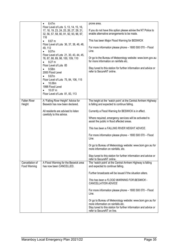|                                 | 8.47m<br>$\bullet$                                                                                                                         | prone area.                                                                                                                                                                                        |
|---------------------------------|--------------------------------------------------------------------------------------------------------------------------------------------|----------------------------------------------------------------------------------------------------------------------------------------------------------------------------------------------------|
|                                 | Floor Level of Lots 5, 13, 14, 15, 16,<br>17, 18, 19, 23, 24, 25, 26, 27, 29, 31,<br>32, 56, 57, 58, 90, 91, 92, 93, 96, 97,<br>116        | If you do not have this option please advise the NT Police to<br>enable alternative arrangements to be made.                                                                                       |
|                                 | 8.67 m                                                                                                                                     | This has been Major Flood Warning for BESWICK                                                                                                                                                      |
|                                 | Floor Level of Lots 36, 37, 38, 46, 48,<br>49, 112<br>9.07m                                                                                | For more information please phone - 1800 500 070 - Flood<br>Line.                                                                                                                                  |
|                                 | Floor Level of Lots 21, 30, 43, 44, 45,<br>76, 87, 88, 89, 98, 100, 109, 110<br>9.27 m<br>$\bullet$                                        | Or go to the Bureau of Meteorology website: www.bom.gov.au<br>for more information on rainfalls etc.                                                                                               |
|                                 | Floor Level of Lots 85<br>9.58m<br>$\bullet$<br>2000 Flood Level<br>9.67m                                                                  | Stay tuned to this station for further information and advice or<br>refer to SecureNT online.                                                                                                      |
|                                 | $\bullet$<br>Floor Level of Lots 75, 84, 106, 115<br>10.06m<br>1998 Flood Level<br>10.07 m<br>$\bullet$<br>Floor Level of Lots 81, 83, 113 |                                                                                                                                                                                                    |
| <b>Fallen River</b><br>Height   | A "Falling River Height" Advice for<br>Beswick has now been declared.                                                                      | The height at the "watch point' at the Central Arnhem Highway<br>is falling and expected to continue falling.                                                                                      |
|                                 | All residents are advised to listen                                                                                                        | Currently a Flood Warning for BESWICK is in effect.                                                                                                                                                |
|                                 | carefully to this advice.                                                                                                                  | Where required, emergency services will be activated to<br>assist the public in flood affected areas.                                                                                              |
|                                 |                                                                                                                                            | This has been a FALLING RIVER HEIGHT ADVICE.                                                                                                                                                       |
|                                 |                                                                                                                                            | For more information please phone - 1800 500 070 - Flood<br>Line.                                                                                                                                  |
|                                 |                                                                                                                                            | Or go to Bureau of Meteorology website: www.bom.gov.au for<br>more information on rainfalls, etc.                                                                                                  |
|                                 |                                                                                                                                            | Stay tuned to this station for further information and advice or<br>refer to SecureNT online.                                                                                                      |
| Cancellation of<br>Food Warning | A Flood Warning for the Beswick area<br>has now been CANCELLED.                                                                            | The "watch point' at the Central Arnhem Highway is falling<br>and expected to continue falling.                                                                                                    |
|                                 |                                                                                                                                            | Further broadcasts will be issued if the situation alters.                                                                                                                                         |
|                                 |                                                                                                                                            | This has been a FLOOD WARNING FOR BESWICK -<br>CANCELLATION ADVICE                                                                                                                                 |
|                                 |                                                                                                                                            | For more information please phone - 1800 500 070 - Flood<br>Line.                                                                                                                                  |
|                                 |                                                                                                                                            | Or go to Bureau of Meteorology website: www.bom.gov.au for<br>more information on rainfalls etc.<br>Stay tuned to this station for further information and advice or<br>refer to SecureNT on line. |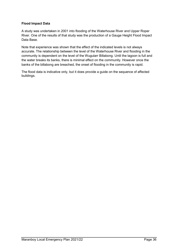#### **Flood Impact Data**

A study was undertaken in 2001 into flooding of the Waterhouse River and Upper Roper River. One of the results of that study was the production of a Gauge Height Flood Impact Data Base.

Note that experience was shown that the effect of the indicated levels is not always accurate. The relationship between the level of the Waterhouse River and flooding in the community is dependent on the level of the Wugularr Billabong. Until the lagoon is full and the water breaks its banks, there is minimal effect on the community. However once the banks of the billabong are breached, the onset of flooding in the community is rapid.

The flood data is indicative only, but it does provide a guide on the sequence of affected buildings.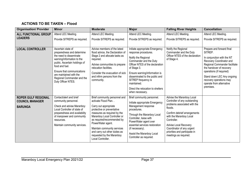#### **ACTIONS TO BE TAKEN – Flood**

| <b>Organisation/ Provider</b> | <b>Minor</b>                                                             | <b>Moderate</b>                                                                           | <b>Major</b>                                                                   | <b>Falling River Heights</b>                                           | <b>Cancellation</b>                                                                                                 |
|-------------------------------|--------------------------------------------------------------------------|-------------------------------------------------------------------------------------------|--------------------------------------------------------------------------------|------------------------------------------------------------------------|---------------------------------------------------------------------------------------------------------------------|
| <b>ALL FUNCTIONAL GROUP</b>   | Attend LEC Meeting.                                                      | Attend LEC Meeting.                                                                       | Attend LEC Meeting.                                                            | Attend LEC Meeting.                                                    | Attend LEC Meeting.                                                                                                 |
| <b>LEADERS</b>                | Provide SITREPS as required.                                             | Provide SITREPS as required.                                                              | Provide SITREPS as required.                                                   | Provide SITREPS as required.                                           | Provide SITREPS as required.                                                                                        |
|                               |                                                                          |                                                                                           |                                                                                |                                                                        |                                                                                                                     |
| <b>LOCAL CONTROLLER</b>       | Ascertain state of<br>preparedness and determine                         | Advise members of the latest<br>flood advice, the Declaration of                          | Initiate appropriate Emergency<br>response procedures.                         | Notify the Regional<br>Commander and the Duty                          | Prepare and forward final<br>SITREP.                                                                                |
|                               | the need to disseminate<br>warning/information to the                    | Stage 2 and allocate tasks as<br>required.                                                | Notify the Regional<br>Commander and the Duty                                  | Officer NTES of the declaration<br>of Stage 4.                         | In conjunction with the NT<br>Recovery Coordinator and<br>Regional Commander facilitate<br>the handover of recovery |
|                               | public. Ascertain holdings of<br>food and fuel.                          | Advise communities to prepare<br>relocation facilities.                                   | Officer NTES of the declaration<br>of Stage 3.                                 |                                                                        |                                                                                                                     |
|                               | Ensure that communications<br>are maintained with the                    | Consider the evacuation of sick<br>and infirm persons from the                            | Ensure warning/information is<br>disseminated to the public and                |                                                                        | operations (if required)<br>Stand down LEC Any ongoing                                                              |
|                               | Regional Commander and the<br>Duty Officer NTES.                         | community.                                                                                | SITREP frequency is<br>maintained.                                             |                                                                        | recovery operations may<br>operate from alternative                                                                 |
|                               |                                                                          |                                                                                           | Direct the relocation to shelters<br>when necessary.                           |                                                                        | premises.                                                                                                           |
| <b>ROPER GULF REGIONAL</b>    | Contact/alert and brief                                                  | Brief community personnel and                                                             | Brief community personnel.                                                     | Advise the Maranboy Local                                              |                                                                                                                     |
| <b>COUNCIL MANAGER</b>        | community personnel.                                                     | activate Flood Plan                                                                       | Initiate appropriate Emergency                                                 | Controller of any outstanding<br>problems associated with the          |                                                                                                                     |
| <b>BARUNGA</b>                | Check and advise Maranboy<br>Local Controller of state of                | Carry out appropriate<br>protective or preventative                                       | Management response<br>procedures.                                             | floods.                                                                |                                                                                                                     |
|                               | preparedness and availability<br>of manpower and community<br>resources. | measures as required by the<br>Maranboy Local Controller or<br>as required/recommended by | Through the Maranboy Local<br>Controller, liaise with<br>PowerWater agent over | Confirm debrief arrangements<br>with the Maranboy Local<br>Controller. |                                                                                                                     |
|                               | Maintain community services.                                             | PowerWater agent.<br>Maintain community services                                          | essential services restoration<br>(if necessary).                              | Advise Local Recovery<br>Coordinator of any urgent                     |                                                                                                                     |
|                               |                                                                          | and carry out other duties as<br>requested by the Maranboy<br>Local Controller.           | Assist the Maranboy Local<br>Controller as required.                           | priorities and participate in<br>meetings as required.                 |                                                                                                                     |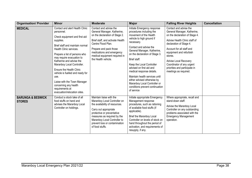| <b>Organisation/ Provider</b>                 | <b>Minor</b>                                                                                                                                                                                                                                                                                                                                                                                                                                                                 | <b>Moderate</b>                                                                                                                                                                                                                                                      | <b>Major</b>                                                                                                                                                                                                                                                                                                                                                                                                                                                                    | <b>Falling River Heights</b>                                                                                                                                                                                                                                                                                                                  | <b>Cancellation</b> |
|-----------------------------------------------|------------------------------------------------------------------------------------------------------------------------------------------------------------------------------------------------------------------------------------------------------------------------------------------------------------------------------------------------------------------------------------------------------------------------------------------------------------------------------|----------------------------------------------------------------------------------------------------------------------------------------------------------------------------------------------------------------------------------------------------------------------|---------------------------------------------------------------------------------------------------------------------------------------------------------------------------------------------------------------------------------------------------------------------------------------------------------------------------------------------------------------------------------------------------------------------------------------------------------------------------------|-----------------------------------------------------------------------------------------------------------------------------------------------------------------------------------------------------------------------------------------------------------------------------------------------------------------------------------------------|---------------------|
| <b>MEDICAL</b>                                | Contact and alert Health Clinic<br>personnel.<br>Check equipment and first aid<br>supplies.<br>Brief staff and maintain normal<br>Health Clinic services.<br>Prepare a list of persons who<br>may require evacuation to<br>Katherine and advise the<br>Maranboy Local Controller.<br><b>Ensure the Health Clinic</b><br>vehicle is fuelled and ready for<br>use.<br>Liaise with the Town Manager<br>concerning any health<br>requirements at<br>evacuation/relocation sites. | Contact and advise the<br>General Manager, Katherine,<br>on the declaration of Stage 2.<br>Brief staff, and activate Health<br>Centre Flood Plan.<br>Prepare and pack those<br>medications and emergency<br>medical equipment required in<br>the Health vehicle.     | Initiate Emergency response<br>procedures including the<br>movement of the Health<br>vehicle to high ground if<br>necessary.<br>Contact and advise the<br>General Manager, Katherine,<br>on the declaration of Stage 3.<br>Brief staff.<br>Keep the Local Controller<br>advised on first aid and<br>medical response details.<br>Maintain health services until<br>either advised otherwise by<br>Maranboy Local Controller or<br>conditions prevent continuation<br>of service | Contact and advise the<br>General Manager, Katherine,<br>on the declaration of Stage 4.<br>Advise Health Clinic staff of<br>declaration of Stage 4.<br>Account for all staff and<br>equipment and refurbish<br>stores.<br><b>Advise Local Recovery</b><br>Coordinator of any urgent<br>priorities and participate in<br>meetings as required. |                     |
| <b>BARUNGA &amp; BESWICK</b><br><b>STORES</b> | Conduct a stock take of all<br>food stuffs on hand and<br>advises the Maranboy Local<br>Controller on holdings.                                                                                                                                                                                                                                                                                                                                                              | Maintain liaise with the<br>Maranboy Local Controller on<br>the availability of resources.<br>Carry out appropriate<br>protective or preventative<br>measures as required by the<br>Maranboy Local Controller to<br>prevent loss or contamination<br>of food stuffs. | Initiate appropriate Emergency<br>Management response<br>procedures, such as rationing<br>of available food stuffs (if<br>applicable).<br>Brief the Maranboy Local<br>Controller on levels of stock on<br>hand throughout the period of<br>activation, and requirements of<br>resupply, if any.                                                                                                                                                                                 | Where appropriate, recall and<br>stand-down staff.<br>Advise the Maranboy Local<br>Controller on any outstanding<br>problems associated with the<br><b>Emergency Management</b><br>operation.                                                                                                                                                 |                     |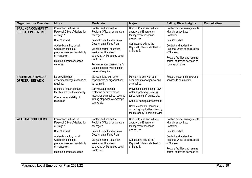| <b>Organisation/ Provider</b>                         | <b>Minor</b>                                                                                                                                                                                                                              | <b>Moderate</b>                                                                                                                                                                                                                                                                                                                  | <b>Major</b>                                                                                                                                                                                                                                                                                                  | <b>Falling River Heights</b>                                                                                                                                                                                                                            | <b>Cancellation</b> |
|-------------------------------------------------------|-------------------------------------------------------------------------------------------------------------------------------------------------------------------------------------------------------------------------------------------|----------------------------------------------------------------------------------------------------------------------------------------------------------------------------------------------------------------------------------------------------------------------------------------------------------------------------------|---------------------------------------------------------------------------------------------------------------------------------------------------------------------------------------------------------------------------------------------------------------------------------------------------------------|---------------------------------------------------------------------------------------------------------------------------------------------------------------------------------------------------------------------------------------------------------|---------------------|
| <b>BARUNGA COMMUNITY</b><br><b>EDUCATION CENTRE</b>   | Contact and advise the<br>Regional Office of declaration<br>of Stage 1.<br>Brief CEC staff.<br>Advise Maranboy Local<br>Controller of state of<br>preparedness and availability<br>of manpower.<br>Maintain normal education<br>services. | Contact and advise the<br>Regional Office of declaration<br>of Stage 2.<br>Brief CEC staff and activate<br>Departmental Flood Plan.<br>Maintain normal education<br>services until advised<br>otherwise by Maranboy Local<br>Controller.<br>Prepare school classrooms for<br>use as temporary evacuation<br>centres if required. | Brief CEC staff and initiate<br>appropriate Emergency<br>Management response<br>procedures.<br>Contact and advise the<br>Regional Office of declaration<br>of Stage 3.                                                                                                                                        | Confirm debrief arrangements<br>with Maranboy Local<br>Controller.<br>Brief CEC staff.<br>Contact and advise the<br>Regional Office of declaration<br>of Stage 4.<br>Restore facilities and resume<br>normal education services as<br>soon as possible. |                     |
| <b>ESSENTIAL SERVICES</b><br><b>OFFICER - BESWICK</b> | Liaise with other<br>departments/organisations as<br>required.<br>Ensure all water storage<br>facilities are filled to capacity.<br>Check the availability of<br>resources                                                                | Maintain liaise with other<br>departments or organisations<br>as required.<br>Carry out appropriate<br>protective or preventative<br>measures as required, such as<br>turning off power to sewerage<br>pumps etc.                                                                                                                | Maintain liaison with other<br>departments or organisations<br>as required.<br>Prevent contamination of town<br>water supplies by isolating<br>tanks, turning off pumps etc.<br>Conduct damage assessment<br>Restore essential services<br>according to priorities given by<br>the Maranboy Local Controller. | Restore water and sewerage<br>services to community.                                                                                                                                                                                                    |                     |
| <b>WELFARE / SHELTERS</b>                             | Contact and advise the<br>Regional Office of declaration<br>of Stage 1.<br>Brief CEC staff.<br>Advise Maranboy Local<br>Controller of state of<br>preparedness and availability<br>of manpower.<br>Maintain normal education              | Contact and advise the<br>Regional Office of declaration<br>of Stage 2.<br>Brief CEC staff and activate<br>Departmental Flood Plan.<br>Maintain normal education<br>services until advised<br>otherwise by Maranboy Local<br>Controller.                                                                                         | Brief CEC staff and initiate<br>appropriate Emergency<br>Management response<br>procedures.<br>Contact and advise the<br>Regional Office of declaration<br>of Stage 3.                                                                                                                                        | Confirm debrief arrangements<br>with Maranboy Local<br>Controller.<br>Brief CEC staff.<br>Contact and advise the<br>Regional Office of declaration<br>of Stage 4.<br>Restore facilities and resume<br>normal education services as                      |                     |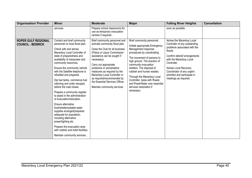| <b>Organisation/ Provider</b>                          | <b>Minor</b>                                                                                                                                                                                                                                                                                                                                                                                                                                                                                                                                                                                                                                                                                                                                                             | <b>Moderate</b>                                                                                                                                                                                                                                                                                                                                                                                        | <b>Major</b>                                                                                                                                                                                                                                                                                                                                                                                                | <b>Falling River Heights</b>                                                                                                                                                                                                                                                                    | <b>Cancellation</b> |
|--------------------------------------------------------|--------------------------------------------------------------------------------------------------------------------------------------------------------------------------------------------------------------------------------------------------------------------------------------------------------------------------------------------------------------------------------------------------------------------------------------------------------------------------------------------------------------------------------------------------------------------------------------------------------------------------------------------------------------------------------------------------------------------------------------------------------------------------|--------------------------------------------------------------------------------------------------------------------------------------------------------------------------------------------------------------------------------------------------------------------------------------------------------------------------------------------------------------------------------------------------------|-------------------------------------------------------------------------------------------------------------------------------------------------------------------------------------------------------------------------------------------------------------------------------------------------------------------------------------------------------------------------------------------------------------|-------------------------------------------------------------------------------------------------------------------------------------------------------------------------------------------------------------------------------------------------------------------------------------------------|---------------------|
|                                                        | services.                                                                                                                                                                                                                                                                                                                                                                                                                                                                                                                                                                                                                                                                                                                                                                | Prepare school classrooms for<br>use as temporary evacuation<br>centres if required                                                                                                                                                                                                                                                                                                                    |                                                                                                                                                                                                                                                                                                                                                                                                             | soon as possible.                                                                                                                                                                                                                                                                               |                     |
| <b>ROPER GULF REGIONAL</b><br><b>COUNCIL - BESWICK</b> | Contact and brief community<br>personnel on local flood plan.<br>Check with and advise<br>Maranboy Local Controller of<br>state of preparedness and<br>availability of manpower and<br>community resources.<br>Ensure the community vehicle<br>with the Satellite telephone is<br>refuelled and prepared.<br>Dip fuel tanks, commence fuel<br>rationing and order resupply<br>before the road closes.<br>Prepare a community register<br>to assist in the administration<br>of evacuation/relocation.<br>Ensure alternative<br>food/shelter/potable water<br>supplies arranged/prepared<br>adequate for population,<br>including alternative<br>power/lighting etc.<br>Prepare the evacuation area<br>with rubbish and toilet facilities.<br>Maintain community services | Brief community personnel and<br>activate community flood plan.<br>Close the Club for all business<br>(Police or Liquor Commission<br>assistance can be sought if<br>necessary).<br>Carry out appropriate<br>protective or preventative<br>measures as required by the<br>Maranboy Local Controller or<br>as required/recommended by<br>the Essential Services Officer,<br>Maintain community services | Brief community personnel.<br>Initiate appropriate Emergency<br>Management response<br>procedures by coordinating:<br>The movement of persons to<br>high ground. The erection of<br>community evacuation<br>shelters. The disposal of<br>rubbish and human wastes.<br>Through the Maranboy Local<br>Controller, liaise with Roads<br>and PowerWater over essential<br>services restoration if<br>necessary. | Advise the Maranboy Local<br>Controller of any outstanding<br>problems associated with the<br>floods.<br>Confirm debrief arrangements<br>with the Maranboy Local<br>Controller.<br>Advise Local Recovery<br>Coordinator of any urgent<br>priorities and participate in<br>meetings as required. |                     |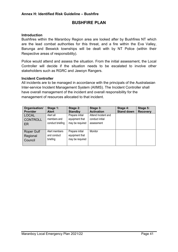### **BUSHFIRE PLAN**

#### <span id="page-40-0"></span>**Introduction**

Bushfires within the Maranboy Region area are looked after by Bushfires NT which are the lead combat authorities for this threat, and a fire within the Eva Valley, Barunga and Beswick townships will be dealt with by NT Police (within their Respective areas of responsibility).

Police would attend and assess the situation. From the initial assessment, the Local Controller will decide if the situation needs to be escalated to involve other stakeholders such as RGRC and Jawoyn Rangers.

#### **Incident Controller**

All incidents are to be managed in accordance with the principals of the Australasian Inter-service Incident Management System (AIIMS). The Incident Controller shall have overall management of the incident and overall responsibility for the management of resources allocated to that incident.

| Organisation/<br>Provider                | Stage 1:<br><b>Alert</b>                     | Stage 2:<br><b>Standby</b>                           | Stage 3:<br><b>Activation</b>                        | Stage 4:<br><b>Stand down</b> | Stage 5:<br><b>Recovery</b> |
|------------------------------------------|----------------------------------------------|------------------------------------------------------|------------------------------------------------------|-------------------------------|-----------------------------|
| LOCAL<br><b>CONTROLL</b><br>ER           | Alert all<br>members and<br>conduct briefing | Prepare initial<br>equipment that<br>may be required | Attend Incident and<br>conduct initial<br>assessment |                               |                             |
| <b>Roper Gulf</b><br>Regional<br>Council | Alert members<br>and conduct<br>briefing     | Prepare initial<br>equipment that<br>may be required | Monitor                                              |                               |                             |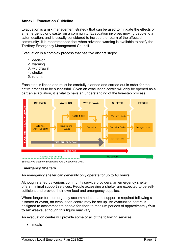#### <span id="page-41-0"></span>**Annex I: Evacuation Guideline**

Evacuation is a risk management strategy that can be used to mitigate the effects of an emergency or disaster on a community. Evacuation involves moving people to a safer location, and is usually considered to include the return of the affected community. It is recommended that when advance warning is available to notify the Territory Emergency Management Council.

Evacuation is a complex process that has five distinct steps:

- 1. decision
- 2. warning
- 3. withdrawal
- 4. shelter
- 5. return.

Each step is linked and must be carefully planned and carried out in order for the entire process to be successful. Given an evacuation centre will only be opened as a part an evacuation, it is vital to have an understanding of the five-step process.



*Source: Five stages of Evacuation, Qld Government, 2011.*

#### **Emergency Shelters**

An emergency shelter can generally only operate for up to **48 hours.**

Although staffed by various community service providers, an emergency shelter offers minimal support services. People accessing a shelter are expected to be selfsufficient and provide their own food and emergency supplies.

Where longer-term emergency accommodation and support is required following a disaster or event, an evacuation centre may be set up. An evacuation centre is designed to accommodate people for short to medium periods of approximately **four to six weeks**, although this figure may vary.

An evacuation centre will provide some or all of the following services:

meals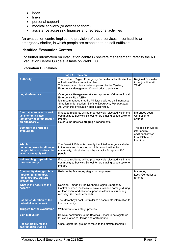- beds
- linen
- personal support
- medical services (or access to them)
- assistance accessing finances and recreational activities

An evacuation centre implies the provision of these services in contrast to an emergency shelter, in which people are expected to be self-sufficient.

#### **Identified Evacuation Centres**

For further information on evacuation centres / shelters management, refer to the NT Evacuation Centre Guide available on WebEOC.

|                                                                                                           | <b>Stage 1 - Decision</b>                                                                                                                                                                                                                            |                                                                                          |
|-----------------------------------------------------------------------------------------------------------|------------------------------------------------------------------------------------------------------------------------------------------------------------------------------------------------------------------------------------------------------|------------------------------------------------------------------------------------------|
| <b>Authority</b>                                                                                          | The Northern Region Emergency Controller will authorise the<br>activation of the evacuation plan.<br>This evacuation plan is to be approved by the Territory<br>Emergency Management Council prior to activation.                                    | <b>Regional Controller</b><br>in conjunction with<br><b>TEMC</b>                         |
| <b>Legal references</b>                                                                                   | Emergency Management Act and approved Katherine Local<br>Emergency Plan (LEP).<br>It is recommended that the Minister declares an Emergency<br>Situation under section 18 of the Emergency Management<br>Act when this evacuation plan is activated. |                                                                                          |
| <b>Alternative to evacuation?</b><br>I.e. shelter in place,<br>temporary accommodation<br>on-site/nearby. | If needed residents will be progressively relocated within the<br>community to Beswick School for pre staging post a cyclone<br>impact.<br>Refer to the Beswick staging arrangements                                                                 | Maranboy Local<br>Controller to<br>arrange                                               |
| <b>Summary of proposed</b><br>evacuation                                                                  |                                                                                                                                                                                                                                                      | The decision will be<br>informed by<br>additional advice<br>from BOM up to<br>that time. |
| <b>Which</b><br>communities/outstations or<br>geographical area does the<br>evacuation apply to?          | The Beswick School is the only identified emergency shelter<br>in the area and is located on high ground within the<br>community; this shelter has the capacity for approx 200<br>people.                                                            |                                                                                          |
| <b>Vulnerable groups within</b><br>the community                                                          | If needed residents will be progressively relocated within the<br>community to Beswick School for pre staging post a cyclone<br>impact.                                                                                                              |                                                                                          |
| <b>Community demographics</b><br>(approx. total number,<br>family groups, cultural<br>groups etc)         | Refer to the Maranboy staging arrangements.                                                                                                                                                                                                          | Maranboy<br>Local Controller to<br>arrange.                                              |
| What is the nature of the<br>hazard?                                                                      | Decision - made by the Northern Region Emergency<br>Controller when the Beswick have sustained damage during<br>a Flood event and cannot support residents in situ during<br>recovery <to be="" determined=""></to>                                  |                                                                                          |
| <b>Estimated duration of the</b><br>potential evacuation?                                                 | The Maranboy Local Controller to disseminate information to<br>the community.                                                                                                                                                                        |                                                                                          |
| <b>Triggers for the evacuation</b>                                                                        | Withdrawal - four stage process;                                                                                                                                                                                                                     |                                                                                          |
| <b>Self-evacuation</b>                                                                                    | Beswick community to the Beswick School to be registered<br>for evacuation to Darwin and/or Katherine                                                                                                                                                |                                                                                          |
| <b>Responsibility for the</b><br>coordination Stage 1                                                     | Once registered, groups to move to the airstrip assembly                                                                                                                                                                                             |                                                                                          |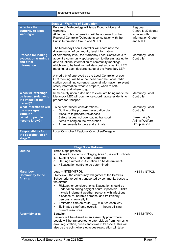|                                                                                               | <b>Stage 2 - Warning of Evacuation</b>                                                                                                                                                                                                                                                                                                                                                                                                                                                                                                                        |                                                                                         |
|-----------------------------------------------------------------------------------------------|---------------------------------------------------------------------------------------------------------------------------------------------------------------------------------------------------------------------------------------------------------------------------------------------------------------------------------------------------------------------------------------------------------------------------------------------------------------------------------------------------------------------------------------------------------------|-----------------------------------------------------------------------------------------|
| Who has the<br>authority to issue<br>warnings?                                                | Bureau of Meteorology will issue Flood advice and<br>warnings.<br>All further public information will be approved by the<br>Regional Controller/Delegate in consultation with the<br>Public Information Group and NTES<br>The Maranboy Local Controller will coordinate the<br>dissemination of community level information.                                                                                                                                                                                                                                  | Regional<br>Controller/Delegate<br>to liaise with<br>Information Group<br>and NTES      |
| <b>Process for issuing</b><br>evacuation warnings<br>and other<br><b>information</b>          | At community level, the Maranboy Local Controller is to<br>appoint a community spokesperson to disseminate up to<br>date situational information at community meetings;<br>which are to be held immediately post a convening LEC<br>meeting, at each declared stage of the Maranboy LEP.<br>A media brief approved by the Local Controller at each<br>LEC meeting, will be announced over the Local Radio<br>station containing current situational information, relevant<br>safety information, what to prepare, when to self-<br>evacuate, and where to go. | Maranboy Local<br>Controller                                                            |
| <b>When will warnings</b><br>be issued (relative to<br>the impact of the<br>hazard)?          | Immediately upon a decision to evacuate being made the<br>Maranboy LEC will commence coordinating residents to<br>prepare for transport.                                                                                                                                                                                                                                                                                                                                                                                                                      | Maranboy Local<br>Controller                                                            |
| <b>What information will</b><br>the messages<br>contain?<br>(What do people<br>need to know?) | To be determined: considerations -<br>Outline of the proposed evacuation plan<br>$\overline{\phantom{0}}$<br>Measure to prepare residences<br>$\overline{\phantom{0}}$<br>Safety issues; not overloading transport<br>$\overline{\phantom{0}}$<br>Items to bring on the evacuation<br>$\overline{\phantom{0}}$<br>Arrangements for pets and animals<br>$\overline{\phantom{a}}$                                                                                                                                                                               | Maranboy Local<br>Controller<br>Biosecurity &<br><b>Animal Welfare</b><br>Group liaison |
| <b>Responsibility for</b><br>the coordination of<br>stage 2                                   | Local Controller / Regional Controller/Delegate                                                                                                                                                                                                                                                                                                                                                                                                                                                                                                               |                                                                                         |

| <b>Stage 3 - Withdrawal</b>                                   |                                                                                                                                                                                                                                                                                                                                                                                                                                                                                                                                                               |              |  |  |
|---------------------------------------------------------------|---------------------------------------------------------------------------------------------------------------------------------------------------------------------------------------------------------------------------------------------------------------------------------------------------------------------------------------------------------------------------------------------------------------------------------------------------------------------------------------------------------------------------------------------------------------|--------------|--|--|
| <b>Outline</b>                                                | Three stage process;<br>a. Beswick residents to Staging Area 1(Beswick School);<br>Staging Area 1 to Airport (Barunga)<br>b.<br>c. Barunga Airport to <location be="" determined="" to=""><br/><b>d.</b> <evacuation be="" centre="" determined="" to=""></evacuation></location>                                                                                                                                                                                                                                                                             |              |  |  |
| <b>Maranboy</b><br><b>Community to the</b><br><b>Airstrip</b> | <b>Lead - NTES/NTPOL</b><br>Overview – the community will gather at the Beswick<br>School prior to being transported by community buses to<br>the airstrip.<br>Risks/other considerations: Evacuation should be<br>undertaken during daylight hours, if possible. Risks<br>include inclement weather, persons with infectious<br>diseases, vulnerable persons, and frail/elderly<br>persons, chronically ill.<br>Estimated time en-route: __ minutes each way<br>$\bullet$<br>Estimated timeframe overall: hours utilising<br>$\bullet$<br>current resources. | NTES / NTPOL |  |  |
| <b>Assembly area</b>                                          | <b>Beswick</b><br>Beswick will be utilised as an assembly point where<br>people will be transported to after pick up from homes to<br>await registration, buses and onward transport. This will<br>also be the point where evacuee registration will take                                                                                                                                                                                                                                                                                                     | NTES/NTPOL   |  |  |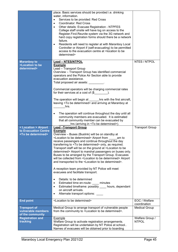|                                                                                                                                         | place. Basic services should be provided i.e. drinking<br>water, information.<br>Services to be provided: Red Cross<br><b>Coordinator: Red Cross</b><br>Other details: Evacuee Registration - NTPFES<br>College staff onsite will have log on access to the<br>Register.Find.Reunite system via the 3G network and<br>hard copy registration forms should there be a network<br>failure.<br>Residents will need to register at with Maranboy Local<br>Controller or Airport if (self-evacuating) to be permitted<br>access to the evacuation centre at <location be<br="" to="">determined&gt;</location>                                                                                                                                                                                                                                                                                                                                                                                                                                                                                                                |                                 |
|-----------------------------------------------------------------------------------------------------------------------------------------|--------------------------------------------------------------------------------------------------------------------------------------------------------------------------------------------------------------------------------------------------------------------------------------------------------------------------------------------------------------------------------------------------------------------------------------------------------------------------------------------------------------------------------------------------------------------------------------------------------------------------------------------------------------------------------------------------------------------------------------------------------------------------------------------------------------------------------------------------------------------------------------------------------------------------------------------------------------------------------------------------------------------------------------------------------------------------------------------------------------------------|---------------------------------|
| <b>Maranboy to</b><br><location be<="" th="" to=""><th><b>Lead - NTES/NTPOL</b><br/><b>Example</b></th><th>NTES / NTPOL</th></location> | <b>Lead - NTES/NTPOL</b><br><b>Example</b>                                                                                                                                                                                                                                                                                                                                                                                                                                                                                                                                                                                                                                                                                                                                                                                                                                                                                                                                                                                                                                                                               | NTES / NTPOL                    |
| determined>                                                                                                                             | Lead - Transport Group<br>Overview - Transport Group has identified commercial<br>operators and the Police Air Section able to provide<br>evacuation assistance.<br>Total proposed air assets: ________                                                                                                                                                                                                                                                                                                                                                                                                                                                                                                                                                                                                                                                                                                                                                                                                                                                                                                                  |                                 |
|                                                                                                                                         | Commercial operators will be charging commercial rates<br>for their services at a cost of (\$                                                                                                                                                                                                                                                                                                                                                                                                                                                                                                                                                                                                                                                                                                                                                                                                                                                                                                                                                                                                                            |                                 |
|                                                                                                                                         | The operation will begin at ______ hrs with the first aircraft,<br>leaving <to be="" determined=""> and arriving at Maranboy at<br/>hrs.</to>                                                                                                                                                                                                                                                                                                                                                                                                                                                                                                                                                                                                                                                                                                                                                                                                                                                                                                                                                                            |                                 |
|                                                                                                                                         | The operation will continue throughout the day until all<br>community members are evacuated. It is estimated<br>that all community member can be evacuated by<br>hrs (arriving in <to be="" determined="">).</to>                                                                                                                                                                                                                                                                                                                                                                                                                                                                                                                                                                                                                                                                                                                                                                                                                                                                                                        |                                 |
| < Location > Airport<br>to Evacuation Centre<br><to be="" determined=""></to>                                                           | <b>Lead -Transport Group</b><br><b>Example</b><br>Overview - Buses (Buslink) will be on standby at<br><location be="" determined="" to=""> Airport from<br/>am to<br/>receive passengers and continue throughout the day<br/>transferring to <to be="" determined=""> only, as required.<br/>Transport staff will be on the ground at <location be<br="" to="">determined&gt; Airport to marshal passengers on buses only.<br/>Buses to be arranged by the Transport Group. Evacuees<br/>will be collected from <location be="" determined="" to=""> Airport<br/>and transported to the <location be="" determined="" to="">.<br/>A reception team provided by NT Police will meet<br/>evacuees and facilitate transport.<br/>Details: to be determined<br/><math display="inline">\bullet</math><br/>Estimated time en-route: minutes<br/><math>\bullet</math><br/>Estimated timeframe: possibly _____ hours, dependant<br/><math display="inline">\bullet</math><br/>on aircraft arrivals.<br/>Alternate transport options:<br/><math display="inline">\bullet</math></location></location></location></to></location> | <b>Transport Group</b>          |
| <b>End point</b>                                                                                                                        | <location be="" determined="" to=""></location>                                                                                                                                                                                                                                                                                                                                                                                                                                                                                                                                                                                                                                                                                                                                                                                                                                                                                                                                                                                                                                                                          | EOC / Welfare<br>coordination   |
| <b>Transport of</b><br>vulnerable members<br>of the community                                                                           | Medical Group to arrange transport of vulnerable people<br>from the community to <location be="" determined="" to="">.</location>                                                                                                                                                                                                                                                                                                                                                                                                                                                                                                                                                                                                                                                                                                                                                                                                                                                                                                                                                                                        | Medical Group                   |
| <b>Registration and</b><br>tracking                                                                                                     | Example<br>Welfare Group to activate registration arrangements.<br>Registration will be undertaken by NT Police at school<br>Names of evacuees will be obtained prior to boarding                                                                                                                                                                                                                                                                                                                                                                                                                                                                                                                                                                                                                                                                                                                                                                                                                                                                                                                                        | Welfare Group /<br><b>NTPOL</b> |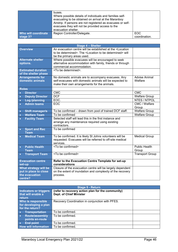|                                 | buses.<br>Where possible details of individuals and families self-<br>evacuating to be obtained on arrival at the Maranboy<br>Airstrip. If persons are not registered as evacuees or self-<br>evacuees they will not be provided access to the<br>evacuation shelter. |                             |
|---------------------------------|-----------------------------------------------------------------------------------------------------------------------------------------------------------------------------------------------------------------------------------------------------------------------|-----------------------------|
| Who will coordinate<br>stage 3? | Region Controller/Delegate.                                                                                                                                                                                                                                           | <b>EOC</b><br>coordination. |

|                                                                             | <b>Stage 4 - Shelter</b>                                                                                                                                                                 |                                 |
|-----------------------------------------------------------------------------|------------------------------------------------------------------------------------------------------------------------------------------------------------------------------------------|---------------------------------|
| <b>Overview</b>                                                             | An evacuation centre will be established at the <location<br>to be determined&gt;. The <location be="" determined="" to=""> will<br/>be the primary areas used.</location></location<br> |                                 |
| <b>Alternate shelter</b><br>options.                                        | Where possible evacuees will be encouraged to seek<br>alternative accommodation with family, friends or through<br>commercial accommodation.                                             |                                 |
| <b>Estimated duration</b><br>of the shelter phase                           | <to be="" determined="">.</to>                                                                                                                                                           |                                 |
| <b>Arrangements for</b><br>domestic animals                                 | No domestic animals are to accompany evacuees. Any<br>self-evacuees with domestic animals will be expected to<br>make their own arrangements for the animals.                            | <b>Advise Animal</b><br>Welfare |
| <b>Roles</b>                                                                |                                                                                                                                                                                          |                                 |
| <b>Director</b><br>$\bullet$                                                | <b>CMC</b>                                                                                                                                                                               | <b>CMC</b>                      |
| <b>Deputy Director</b><br>$\bullet$                                         | <b>DCF</b>                                                                                                                                                                               | <b>Welfare Group</b>            |
| Log./planning<br>$\bullet$                                                  | EOC.                                                                                                                                                                                     | NTES / NTPOL                    |
| <b>Admin teams</b><br>$\bullet$                                             | EOC                                                                                                                                                                                      | <b>CMC / Welfare</b><br>Group   |
| <b>Shift manager/s</b><br>$\bullet$                                         | To be confirmed - drawn from pool of trained DCF staff.                                                                                                                                  | <b>Welfare Group</b>            |
| <b>Welfare Team</b><br>$\bullet$                                            | To be confirmed                                                                                                                                                                          | <b>Welfare Group</b>            |
| <b>Facility Team</b><br>$\bullet$                                           | Selected staff will lead this in the first instance and<br>arrange any maintenance required using existing<br>contractors.                                                               |                                 |
| <b>Sport and Rec</b><br>Team                                                | To be confirmed                                                                                                                                                                          |                                 |
| <b>Medical Team</b>                                                         | To be confirmed. It is likely St Johns volunteers will be<br>requested. Evacuees will be referred to off-site medical<br>services.                                                       | <b>Medical Group</b>            |
| <b>Public Health</b><br><b>Team</b>                                         | <to be="" confirmed=""></to>                                                                                                                                                             | <b>Public Health</b><br>Group   |
| <b>Transport Team</b>                                                       | <to be="" confirmed=""></to>                                                                                                                                                             | <b>Transport Group</b>          |
| <b>Evacuation centre</b><br>set-up                                          | Refer to the Evacuation Centre Template for set-up<br>considerations                                                                                                                     |                                 |
| What strategy will be<br>put in place to close<br>the evacuation<br>centre? | Closure of the evacuation centre will be largely dependent<br>on the extent of inundation and complexity of the recovery<br>process.                                                     |                                 |

| <b>Stage 5 - Return</b>                                        |                                                                              |  |
|----------------------------------------------------------------|------------------------------------------------------------------------------|--|
| <b>Indicators or triggers</b><br>that will enable a<br>return  | (refer to recovery action plan for the community)<br>Dept. of Chief Minister |  |
| Who is responsible<br>for developing a plan<br>for the return? | Recovery Coordination in conjunction with PFES.                              |  |
| <b>Transportation</b><br>407                                   | To be confirmed.                                                             |  |
| <b>Route/assembly</b><br>$\bullet$<br>points en-route          | To be confirmed.                                                             |  |
| <b>End point</b><br>$\bullet$                                  | To be confirmed.                                                             |  |
| <b>How will information</b>                                    | To be confirmed.                                                             |  |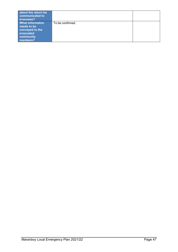| about the return be<br>communicated to<br>evacuees?                                             |                  |  |
|-------------------------------------------------------------------------------------------------|------------------|--|
| <b>What information</b><br>needs to be<br>conveyed to the<br>evacuated<br>community<br>members? | To be confirmed. |  |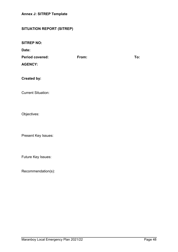## <span id="page-47-0"></span>**SITUATION REPORT (SITREP)**

**Date:**

| <b>Period covered:</b> | From: | To: |
|------------------------|-------|-----|
| <b>AGENCY:</b>         |       |     |

**Created by:**

Current Situation:

Objectives:

Present Key Issues:

Future Key Issues:

Recommendation(s):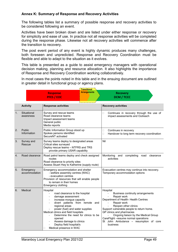#### <span id="page-48-0"></span>**Annex K: Summary of Response and Recovery Activities**

The following tables list a summary of possible response and recovery activities to be considered following an event.

Activities have been broken down and are listed under either response or recovery for simplicity and ease of use. In practice not all response activities will be completed during the response phase. Likewise not all recovery activities will commence after the transition to recovery.

The post event period of any event is highly dynamic produces many challenges, both foreseen and unpredicted. Response and Recovery Coordination must be flexible and able to adapt to the situation as it evolves.

This table is presented as a guide to assist emergency managers with operational decision making, planning and resource allocation. It also highlights the importance of Response and Recovery Coordination working collaboratively.

In most cases the points noted in this table and in the ensuing document are outlined in greater detail in functional group or agency plans.

|    | Transitional               |                                                                                                                                                                                                                                                                                                                                                                                                               |                     |                  |                                                                                                                                                                                                                                                                                                                                                 |
|----|----------------------------|---------------------------------------------------------------------------------------------------------------------------------------------------------------------------------------------------------------------------------------------------------------------------------------------------------------------------------------------------------------------------------------------------------------|---------------------|------------------|-------------------------------------------------------------------------------------------------------------------------------------------------------------------------------------------------------------------------------------------------------------------------------------------------------------------------------------------------|
|    |                            | <b>Response</b><br><b>PFES / EOC</b>                                                                                                                                                                                                                                                                                                                                                                          | <b>Arrangements</b> |                  | <b>Recovery</b><br><b>DCM / TCCC</b>                                                                                                                                                                                                                                                                                                            |
|    | <b>Activity</b>            | <b>Response activities</b>                                                                                                                                                                                                                                                                                                                                                                                    |                     |                  | <b>Recovery activities</b>                                                                                                                                                                                                                                                                                                                      |
| 1. | Situational<br>awareness   | Survey and rescue teams<br>Road clearance teams<br>Impact assessment teams<br>General public<br>Media reports                                                                                                                                                                                                                                                                                                 |                     | $\Box$           | Continues in recovery through the use of<br>impact assessments and Outreach                                                                                                                                                                                                                                                                     |
| 2. | Public<br>Information      | Public Information Group stood up<br>Spokes persons identified<br>SecureNT activated                                                                                                                                                                                                                                                                                                                          |                     | $\Box$<br>$\Box$ | Continues in recovery<br>Handover to long term recovery coordination                                                                                                                                                                                                                                                                            |
| 3. | Survey and<br>Rescue       | Survey teams deploy to designated areas<br>Critical sites surveyed<br>Deploy rescue teams - NTFRS and TRS<br>provide primary USAR capability                                                                                                                                                                                                                                                                  |                     | Nil              |                                                                                                                                                                                                                                                                                                                                                 |
| 4. | Road clearance             | Road patrol teams deploy and check assigned<br>routes<br>Road clearance to priority sites<br>Assess Stuart Hwy to Katherine (supply route)                                                                                                                                                                                                                                                                    |                     |                  | Monitoring<br>completing<br>and<br>road<br>clearance<br>activities                                                                                                                                                                                                                                                                              |
| 5. | Emergency<br>accommodation | Emergency accommodation and shelter<br>- welfare assembly centres (WAC)<br>- evacuation centres<br>Provision of resources that will enable people<br>to remain in their homes<br>Emergency clothing                                                                                                                                                                                                           |                     |                  | Evacuation centres may continue into recovery.<br>Temporary accommodation options                                                                                                                                                                                                                                                               |
| 6. | Medical                    | Hospital<br>road clearance to the hospital<br>$\ddot{\phantom{a}}$<br>damage assessment<br>$\blacksquare$<br>increase morgue capacity<br>divert patients from remote and<br>regional areas<br>power (fuel) and water supplies<br>Medical clinics and field hospitals<br>Determine the need for clinics to be<br>opened<br>Assess damage to clinics<br>Deploy field hospital/s<br>Medical presence in WAC<br>□ |                     | Hospital         | Business continuity arrangements<br>Repair work<br>Department of Health- Health Centres<br>Repair work<br>Reopen other clinics<br>Support vulnerable people to return home.<br>GP clinics and pharmacies<br>Ongoing liaison by the Medical Group<br>CareFlight - resume normal operations<br>St John Ambulance - resumption of core<br>business |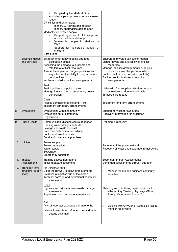|     |                                                 | Supplied by the Medical Group<br>Ambulance pick up points on key, cleared<br>u<br>roads<br>GP clinics and pharmacies<br>Identify GP clinics able to open<br>Identify pharmacies able to open<br>Medically vulnerable people<br>Support agencies to follow-up and<br>advise the Medical Group<br>Vulnerable people in shelters or<br><b>WAC</b><br>Support for vulnerable people at<br>shelters<br>Care Flight |                                                                                                                                                                                                                                                                                    |
|-----|-------------------------------------------------|---------------------------------------------------------------------------------------------------------------------------------------------------------------------------------------------------------------------------------------------------------------------------------------------------------------------------------------------------------------------------------------------------------------|------------------------------------------------------------------------------------------------------------------------------------------------------------------------------------------------------------------------------------------------------------------------------------|
| 7.  | Essential goods<br>and services                 | Establish emergency feeding and food<br>distribution points<br>Assessing the damage to suppliers and<br>retailers of critical resources<br>Assess the impact on barge operations and<br>any effect on the ability to supply remote<br>communities<br>Implement interim banking arrangements                                                                                                                   | Encourage private business to reopen<br>Monitor levels and availability of critical<br>resources<br>Manage logistics arrangements supplying<br>resources to outlying communities<br>Public Health inspections (food outlets)<br>Banking sector business continuity<br>arrangements |
|     |                                                 | Fuel<br>Fuel suppliers and point of sale<br>Manage fuel supplies to emergency power<br>generation                                                                                                                                                                                                                                                                                                             | Liaise with fuel suppliers, distributors and<br>wholesalers. Monitor fuel levels<br>Infrastructure repairs                                                                                                                                                                         |
|     |                                                 | Cash<br>Assess damage to banks and ATMs<br>Implement temporary arrangements                                                                                                                                                                                                                                                                                                                                   | Implement long term arrangements                                                                                                                                                                                                                                                   |
| 8.  | Evacuation                                      | Evacuations within community<br>Evacuation out of community<br>Registration                                                                                                                                                                                                                                                                                                                                   | Support services for evacuees<br>Recovery information for evacuees                                                                                                                                                                                                                 |
| 9.  | <b>Public Health</b>                            | Communicable disease control response<br>Drinking water safety standards<br>Sewage and waste disposal<br>Safe food distribution and advice<br>Vector and vermin control<br>Food and commercial premises                                                                                                                                                                                                       | Ongoing in recovery                                                                                                                                                                                                                                                                |
|     | 10. Utilities                                   | Power supply<br>Power generation<br>Water supply<br>Sewerage<br>Emergency sanitation                                                                                                                                                                                                                                                                                                                          | Recovery of the power network<br>Recovery of water and sewerage infrastructure                                                                                                                                                                                                     |
|     | 11. Impact<br>Assessments                       | Training assessment teams<br>Initial Impact Assessments                                                                                                                                                                                                                                                                                                                                                       | <b>Secondary Impact Assessments</b><br>Continued assessments through outreach                                                                                                                                                                                                      |
| 12. | Transport infra-<br>structure (supply<br>lines) | Air (Airport/Airstrip)<br>Clear the runway to allow air movements<br>Establish a logistics hub at the airport<br>Terminal damage and operational capability<br>assessment                                                                                                                                                                                                                                     | Monitor repairs and business continuity<br>□<br>activities                                                                                                                                                                                                                         |
|     |                                                 | Road<br>Highway and critical access roads damage<br>assessment<br>Repair work to commence immediately                                                                                                                                                                                                                                                                                                         | Planning and prioritising repair work of all<br>affected key Territory Highways (Stuart,<br>Barkly, Victoria and Arnhem)                                                                                                                                                           |
|     |                                                 | Rail<br>Ask rail operator to assess damage to the<br>railway & associated infrastructure and report                                                                                                                                                                                                                                                                                                           | Liaising with GWA and Australasia Rail to<br>□<br>monitor repair work                                                                                                                                                                                                              |
|     |                                                 | outage estimation                                                                                                                                                                                                                                                                                                                                                                                             |                                                                                                                                                                                                                                                                                    |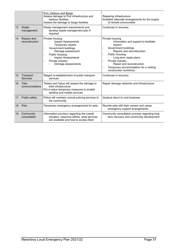|     |                               | Port, Harbour and Barge<br>Assess damage to Port infrastructure and<br>harbour facilities<br>Assess the damage to barge facilities                                                                                            | Repairing infrastructure<br>Establish alternate arrangements for the supply<br>of remote communities                                                                                                                                                                                                                   |  |
|-----|-------------------------------|-------------------------------------------------------------------------------------------------------------------------------------------------------------------------------------------------------------------------------|------------------------------------------------------------------------------------------------------------------------------------------------------------------------------------------------------------------------------------------------------------------------------------------------------------------------|--|
|     | 13. Waste<br>management       | Waste management requirements and<br>develop waste management plan if<br>required                                                                                                                                             | Continues in recovery                                                                                                                                                                                                                                                                                                  |  |
| 14. | Repairs and<br>reconstruction | Private housing<br><b>Impact Assessments</b><br>Temporary repairs<br>Government buildings<br>ш<br>Damage assessment<br><b>Public Housing</b><br>П<br><b>Impact Assessments</b><br>Private Industry<br>□<br>Damage assessments | Private housing<br>Information and support to facilitate<br>repairs.<br>Government buildings<br>Ш<br>Repairs and reconstruction<br><b>Public Housing</b><br>П<br>Long term repair plans<br>Private Industry<br>□<br>Repair and reconstruction<br>Temporary accommodation for a visiting<br>□<br>construction workforce |  |
| 15. | Transport<br>Services         | Staged re-establishment of public transport<br>services                                                                                                                                                                       | Continues in recovery                                                                                                                                                                                                                                                                                                  |  |
|     | 16. Tele-<br>communications   | Telstra and Optus will assess the damage to<br>their infrastructure<br>Put in place temporary measures to enable<br>landline and mobile services                                                                              | Repair damage networks and infrastructure                                                                                                                                                                                                                                                                              |  |
|     | 17. Public safety             | Police will maintain normal policing services to<br>the community                                                                                                                                                             | Gradual return to core business                                                                                                                                                                                                                                                                                        |  |
|     | 18. Pets                      | Temporary emergency arrangements for pets.                                                                                                                                                                                    | Reunite pets with their owners and cease<br>emergency support arrangements                                                                                                                                                                                                                                             |  |
|     | 19. Community<br>consultation | Information provision regarding the overall<br>situation, response efforts, what services<br>are available and how to access them                                                                                             | Community consultation process regarding long<br>term recovery and community development                                                                                                                                                                                                                               |  |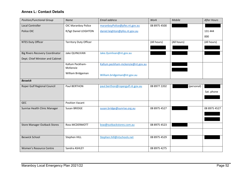#### **Annex L: Contact Details**

<span id="page-51-0"></span>

| <b>Position/Functional Group</b>       | <b>Name</b>                   | <b>Email address</b>              | Work         | Mobile      | <b>After Hours</b> |
|----------------------------------------|-------------------------------|-----------------------------------|--------------|-------------|--------------------|
| <b>Local Controller</b>                | OIC Maranboy Police           | maranboyPolice@pfes.nt.gov.au     | 08 8975 4500 |             |                    |
| Police OIC                             | R/Sgt Daniel LEIGHTON         | daniel.leighton@pfes.nt.gov.au    |              |             | 131 444            |
|                                        |                               |                                   |              |             | 000                |
| <b>NTES Duty Officer</b>               | <b>Territory Duty Officer</b> |                                   | (All hours)  | (All hours) | (All hours)        |
|                                        |                               |                                   |              |             |                    |
| <b>Big Rivers Recovery Coordinator</b> | Jake QUINLIVAN                | Jake.Quinlivan@nt.gov.au          |              |             |                    |
| Dept. Chief Minister and Cabinet       |                               |                                   |              |             |                    |
|                                        | Kallum Peckham-               | Kallum.peckham-mckenzie@nt.gov.au |              |             |                    |
|                                        | McKenzie                      |                                   |              |             |                    |
|                                        | William Bridgeman             | William.bridgeman@nt.gov.au       |              |             |                    |
| <b>Beswick</b>                         |                               |                                   |              |             |                    |
| Roper Gulf Regional Council            | Paul BERTHON                  | paul.berthon@ropergulf.nt.gov.au  | 08 8977 2202 | (personal)  |                    |
|                                        |                               |                                   |              |             | Sat. phone         |
|                                        |                               |                                   |              |             |                    |
| <b>GEC</b>                             | <b>Position Vacant</b>        |                                   |              |             |                    |
| Sunrise Health Clinic Manager          | Susan BRIDGE                  | susan.bridge@sunrise.org.au       | 08 8975 4527 |             | 08 8975 4527       |
|                                        |                               |                                   |              |             |                    |
|                                        |                               |                                   |              |             |                    |
| <b>Store Manager Outback Stores</b>    | Ross MCDERMOTT                | bsw@outbackstores.com.au          | 08 8975 4523 |             |                    |
|                                        |                               |                                   |              |             |                    |
| <b>Beswick School</b>                  | Stephen HILL                  | Stephen.hill@ntschools.net        | 08 8975 4529 |             |                    |
|                                        |                               |                                   |              |             |                    |
| Women's Resource Centre                | Sandra ASHLEY                 |                                   | 08 8975 4275 |             |                    |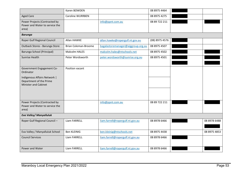|                                                                                        | Karen BOWDEN            |                                    | 08 8975 4464   |              |
|----------------------------------------------------------------------------------------|-------------------------|------------------------------------|----------------|--------------|
| <b>Aged Care</b>                                                                       | <b>Caroline WURRBEN</b> |                                    | 08 8975 4275   |              |
| Power Projects (Contracted by<br>Power and Water to service the<br>area)               |                         | info@ppnt.com.au                   | 08 89 722 211  |              |
| <b>Barunga</b>                                                                         |                         |                                    |                |              |
| Roper Gulf Regional Council                                                            | Allan HAWKE             | allan.hawke@ropergulf.nt.gov.au    | (08) 8975 4576 |              |
| Outback Stores - Barunga Store                                                         | Brian Coleman-Broome    | bagalastoremanager@aiggroup.org.au | 08 8975 4507   |              |
| Barunga School (Principal)                                                             | <b>Malcolm HALES</b>    | malcolm.hales@ntschools.net        | 08 8975 4502   |              |
| Sunrise Health                                                                         | Peter Wordsworth        | peter.wordsworth@sunrise.org.au    | 08 8975 4501   |              |
|                                                                                        |                         |                                    |                |              |
| Government Engagement Co-<br>Ordinator                                                 | Position vacant         |                                    |                |              |
| Indigenous Affairs Network  <br>Department of the Prime<br><b>Minister and Cabinet</b> |                         |                                    |                |              |
|                                                                                        |                         |                                    |                |              |
| Power Projects (Contracted by<br>Power and Water to service the<br>area)               |                         | info@ppnt.com.au                   | 08 89 722 211  |              |
| Eva Valley/ Manyalluluk                                                                |                         |                                    |                |              |
| Roper Gulf Regional Council -                                                          | Liam FARRELL            | liam.farrell@ropergulf.nt.gov.au   | 08 8978 6466   | 08 8978 6488 |
|                                                                                        |                         |                                    |                |              |
| Eva Valley / Manyalluluk School                                                        | Ben KLEINIG             | ben.kleinig@ntschools.net          | 08 8975 4438   | 08 8975 4853 |
| <b>Council Services</b>                                                                | Liam FARRELL            | liam.farrell@ropergulf.nt.gov.au   | 08 8978 6466   |              |
| Power and Water                                                                        | Liam FARRELL            | liam.farrell@ropergulf.nt.gov.au   | 08 8978 6466   |              |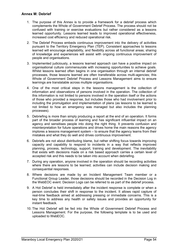#### <span id="page-53-0"></span>**Annex M: Debrief**

- 1. The purpose of this Annex is to provide a framework for a debrief process which complements the Whole of Government Debrief Process. The process should not be confused with training or exercise evaluations but rather considered as a lessons learned opportunity. Lessons learned leads to improved operational effectiveness, increased cost efficiency and reduced operational risk.
- 2. The Debrief Process embeds continuous improvement into the delivery of activities pursuant to the Territory Emergency Plan (TEP). Consistent approaches to lessons learned will encourage adaptability, and flexibility across all functional areas; sharing of knowledge and experiences will assist with ongoing continuous improvement of people and organisations.
- 3. Implemented judiciously, a lessons learned approach can have a positive impact on organisational culture commensurate with increasing opportunities to achieve goals. Whilst lessons learned often begins in one organisation through an internal debrief processes, those lessons learned are often transferable across multi-agencies; this Whole of Government Debrief Process and Lessons Management aims to ensure learnings are translatable across multiple organisations.
- 4. One of the most critical steps in the lessons management is the collection of information and observations of persons involved in the operation. The collection of this information is not limited to persons involved in the operation itself or the actions of those who provided a response, but includes those who had involvement prior to including the promulgation and implementation of plans (as lessons to be learned is not limited to how an emergency was managed but also includes the planning processes).
- 5. Debriefing is more than simply producing a report at the end of an operation. It forms part of the broader process of learning and has significant influential impact on an agency and sensitises people into doing the right thing. It prevents confusion and misinterpretation for future operations and drives home the main reasons the agency implores a lessons management system – to ensure that the agency learns from their mistakes and what they do well and drives continuous improvement.
- 6. Debriefs are not about distributing blame, but rather shifting focus towards improving capacity and capability to respond to incidents in a way that reflects improved planning, process, technology, support, training and development. The inevitability that exists with decisions made on a risk based approach carries a certain level of accepted risk and this needs to be taken into account when debriefing.
- 7. During any operation, anyone involved in the operation should be recording activities where there are lessons to be learned; activities can include decision making and consequential responses.
- 8. Where decisions are made by an Incident Management Team member or a Functional Group Leader, those decisions should be recorded in the Decision Log in the WebEOC event. Decision Logs can be referred to as part of the debrief process.
- 9. A Hot Debrief is held immediately after the incident response is complete or when a person concludes their shift in response to the incident. It allows rapid capture of real-time feedback aimed at addressing pressing or immediate concerns. This is a key time to address any health or safety issues and provides an opportunity for instant feedback.
- 10. The Hot Debrief will be fed into the Whole of Government Debrief Process and Lessons Management. For the purpose, the following template is to be used and uploaded to WebEOC.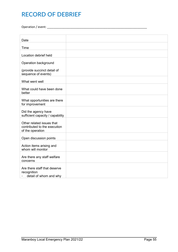## **RECORD OF DEBRIEF**

Operation / event: \_\_\_\_\_\_\_\_\_\_\_\_\_\_\_\_\_\_\_\_\_\_\_\_\_\_\_\_\_\_\_\_\_\_\_\_\_\_\_\_\_\_\_\_\_\_\_\_\_\_\_\_\_\_\_\_\_\_\_\_\_

| Date                                                                          |  |
|-------------------------------------------------------------------------------|--|
| Time                                                                          |  |
| Location debrief held                                                         |  |
| Operation background                                                          |  |
| (provide succinct detail of<br>sequence of events)                            |  |
| What went well                                                                |  |
| What could have been done<br>better                                           |  |
| What opportunities are there<br>for improvement                               |  |
| Did the agency have<br>sufficient capacity / capability                       |  |
| Other related issues that<br>contributed to the execution<br>of the operation |  |
| Open discussion points                                                        |  |
| Action items arising and<br>whom will monitor                                 |  |
| Are there any staff welfare<br>concerns                                       |  |
| Are there staff that deserve<br>recognition<br>detail of whom and why         |  |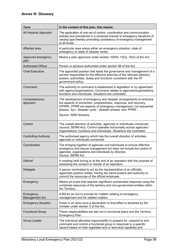<span id="page-55-0"></span>

| <b>Term</b>                  | In the context of this plan, this means:                                                                                                                                                                                                                                 |
|------------------------------|--------------------------------------------------------------------------------------------------------------------------------------------------------------------------------------------------------------------------------------------------------------------------|
| All Hazards Approach         | The application of one set of control, coordination and communication<br>policies and procedures in a universal manner to emergency situations of<br>varying type thereby promoting consistency of emergency management<br>at all levels.                                |
| Affected area                | A particular area where either an emergency situation, state of<br>emergency or state of disaster exists.                                                                                                                                                                |
| Approved emergency<br>plan   | Means a plan approved under section 10930, 13(2), 16(2) of the Act.                                                                                                                                                                                                      |
| <b>Authorised Officer</b>    | Person or persons authorised under section 98 of the Act.                                                                                                                                                                                                                |
| <b>Chief Executive</b>       | The appointed position that leads the governance and management of a<br>service responsible for the effective exercise of the relevant statutory<br>powers, authorities, duties and functions consistent with the NT<br>government policy.                               |
| Command                      | The authority to command is established in legislation or by agreement<br>with agency/organisations. Command relates to agencies/organisations,<br>functions and individuals. Situations are controlled.                                                                 |
| Comprehensive<br>approach    | The development of emergency and disaster arrangements to embrace<br>the aspects of prevention, preparedness, response, and recovery<br>(PPRR). PPRR are aspects of emergency management, not sequential<br>phases. Syn. 'disaster cycle', 'disaster phases' and 'PPRR'. |
|                              | Source: AEM Glossary                                                                                                                                                                                                                                                     |
| Control                      | The overall direction of activities, agencies or individuals concerned<br>(source; SERM Act). Control operates horizontally across agencies /<br>organisations, functions and individuals. Situations are controlled.                                                    |
| <b>Controlling Authority</b> | The authorised agency which has the overall direction of activities,<br>agencies or individuals concerned.                                                                                                                                                               |
| Coordination                 | The bringing together of agencies and individuals to ensure effective<br>emergency and rescue management but does not include the control of<br>agencies, organisations and individuals by direction.<br>Source: SERM Act.                                               |
| Debrief                      | A meeting held during or at the end of an operation with the purpose of<br>assessing the conduct or results of an operation.                                                                                                                                             |
| Delegate                     | A person nominated to act as the representative of an officially<br>appointed position holder, having the same powers and authority to<br>commit the resources of the official employee.                                                                                 |
| Emergency                    | Means an event that requires significant coordinated response using the<br>combined resources of the territory and non-government entities within<br>the Territory.                                                                                                      |
| Emergency<br>Management Act  | A Bill for an Act to provide for matters relating to emergency<br>management and for related matters.                                                                                                                                                                    |
| <b>Emergency Situation</b>   | Exists in an area once a declaration to that effect is declared by the<br>minister under section 3 of the Act.                                                                                                                                                           |
| <b>Functional Group</b>      | These responsibilities are laid out in functional plans and the Territory<br><b>Emergency Plan</b>                                                                                                                                                                       |
| Group Leader                 | The individual allocated responsibility to prepare for, respond to and<br>command and control a functional group in response to a specific<br>hazard based on their legislated and or technical capability and                                                           |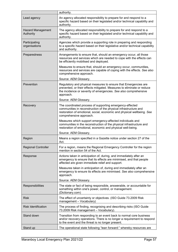|                                       | authority.                                                                                                                                                                                                                        |
|---------------------------------------|-----------------------------------------------------------------------------------------------------------------------------------------------------------------------------------------------------------------------------------|
| Lead agency                           | An agency allocated responsibility to prepare for and respond to a<br>specific hazard based on their legislated and/or technical capability and<br>authority.                                                                     |
| <b>Hazard Management</b><br>Authority | The agency allocated responsibility to prepare for and respond to a<br>specific hazard based on their legislated and/or technical capability and<br>authority.                                                                    |
| Participating<br>organisations        | Agencies which provide a supporting role in preparing and responding<br>to a specific hazard based on their legislative and/or technical capability<br>and authority.                                                             |
| Preparedness                          | Arrangements to ensure that, should an emergency occur, all those<br>resources and services which are needed to cope with the effects can<br>be efficiently mobilised and deployed.                                               |
|                                       | Measures to ensure that, should an emergency occur, communities,<br>resources and services are capable of coping with the effects. See also<br>comprehensive approach.                                                            |
|                                       | Source: AEM Glossary.                                                                                                                                                                                                             |
| Prevention                            | Regulatory and physical measures to ensure that Emergencies are<br>prevented, or their effects mitigated. Measures to eliminate or reduce<br>the incidence or severity of emergencies. See also comprehensive<br>approach.        |
|                                       | Source: AEM Glossary.                                                                                                                                                                                                             |
| Recovery                              | The coordinated process of supporting emergency-affected<br>communities in reconstruction of the physical infrastructure and<br>restoration of emotional, social, economic and physical wellbeing. See<br>comprehensive approach. |
|                                       | Measures which support emergency-affected individuals and<br>communities in the reconstruction of the physical infrastructure and<br>restoration of emotional, economic and physical well-being.                                  |
|                                       | Source: AEM Glossary.                                                                                                                                                                                                             |
| Region                                | Means a region specified in a Gazette notice under section 27 of the<br>Act.                                                                                                                                                      |
| <b>Regional Controller</b>            | For a region, means the Regional Emergency Controller for the region<br>mention in section 54 of the Act.                                                                                                                         |
| Response                              | Actions taken in anticipation of, during, and immediately after an<br>emergency to ensure that its effects are minimised, and that people<br>affected are given immediate relief and support.                                     |
|                                       | Measures taken in anticipation of, during and immediately after an<br>emergency to ensure its effects are minimised. See also comprehensive<br>approach.                                                                          |
|                                       | Source: AEM Glossary.                                                                                                                                                                                                             |
| Responsibilities                      | The state or fact of being responsible, answerable, or accountable for<br>something within one's power, control, or management.<br>(Dictionary.com)                                                                               |
| <b>Risk</b>                           | The effect of uncertainty or objectives. (ISO Guide 73.2009 Risk<br>management - Vocabulary)                                                                                                                                      |
| <b>Risk Identification</b>            | The process of finding, recognising and describing risks (ISO Guide<br>73.2009 Risk management - Vocabulary).                                                                                                                     |
| Stand down                            | Transition from responding to an event back to normal core business<br>and/or recovery operations. There is no longer a requirement to respond<br>to the event and the threat is no longer present.                               |
| Stand up                              | The operational state following "lean forward:" whereby resources are                                                                                                                                                             |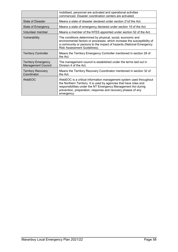|                                                         | mobilised, personnel are activated and operational activities<br>commenced. Disaster coordination centers are activated.                                                                                                                                                                |
|---------------------------------------------------------|-----------------------------------------------------------------------------------------------------------------------------------------------------------------------------------------------------------------------------------------------------------------------------------------|
| <b>State of Disaster</b>                                | Means a state of disaster declared under section 21 of the Act.                                                                                                                                                                                                                         |
| State of Emergency                                      | Means a state of emergency declared under section 19 of the Act.                                                                                                                                                                                                                        |
| Volunteer member                                        | Means a member of the NTES appointed under section 52 of the Act.                                                                                                                                                                                                                       |
| Vulnerability                                           | The conditions determined by physical, social, economic and<br>environmental factors or processes, which increase the susceptibility of<br>a community or persons to the impact of hazards (National Emergency<br>Risk Assessment Guidelines).                                          |
| <b>Territory Controller</b>                             | Means the Territory Emergency Controller mentioned in section 28 of<br>the Act.                                                                                                                                                                                                         |
| <b>Territory Emergency</b><br><b>Management Council</b> | The management council is established under the terms laid out in<br>Division 4 of the Act.                                                                                                                                                                                             |
| <b>Territory Recovery</b><br>Coordinator                | Means the Territory Recovery Coordinator mentioned in section 32 of<br>the Act.                                                                                                                                                                                                         |
| WebEOC                                                  | WebEOC is a critical information management system used throughout<br>the Northern Territory. It is used by agencies that have roles and<br>responsibilities under the NT Emergency Management Act during<br>prevention, preparation, response and recovery phases of any<br>emergency. |